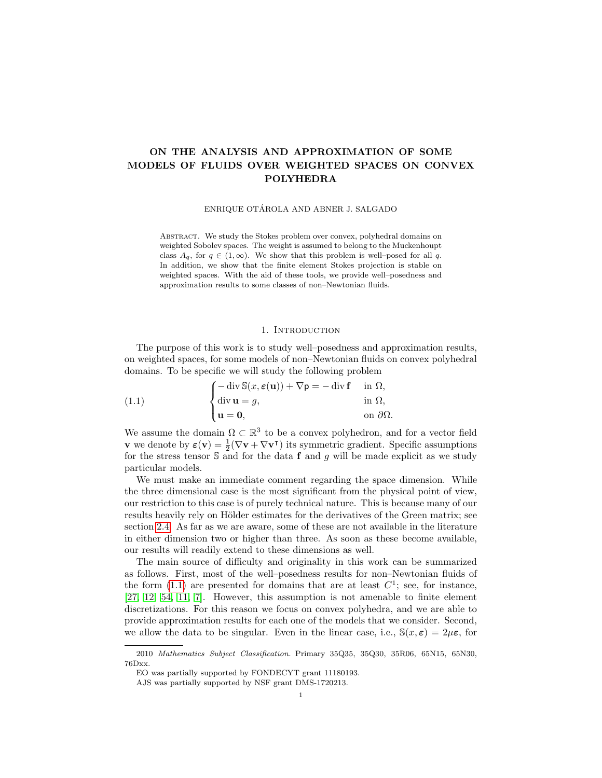# ON THE ANALYSIS AND APPROXIMATION OF SOME MODELS OF FLUIDS OVER WEIGHTED SPACES ON CONVEX POLYHEDRA

ENRIQUE OTÁROLA AND ABNER J. SALGADO

Abstract. We study the Stokes problem over convex, polyhedral domains on weighted Sobolev spaces. The weight is assumed to belong to the Muckenhoupt class  $A_q$ , for  $q \in (1,\infty)$ . We show that this problem is well–posed for all q. In addition, we show that the finite element Stokes projection is stable on weighted spaces. With the aid of these tools, we provide well–posedness and approximation results to some classes of non–Newtonian fluids.

## 1. INTRODUCTION

The purpose of this work is to study well–posedness and approximation results, on weighted spaces, for some models of non–Newtonian fluids on convex polyhedral domains. To be specific we will study the following problem

<span id="page-0-0"></span>(1.1) 
$$
\begin{cases}\n-\operatorname{div} \mathbb{S}(x, \varepsilon(\mathbf{u})) + \nabla \mathsf{p} = -\operatorname{div} \mathbf{f} & \text{in } \Omega, \\
\operatorname{div} \mathbf{u} = g, & \text{in } \Omega, \\
\mathbf{u} = \mathbf{0}, & \text{on } \partial \Omega.\n\end{cases}
$$

We assume the domain  $\Omega \subset \mathbb{R}^3$  to be a convex polyhedron, and for a vector field **v** we denote by  $\varepsilon(\mathbf{v}) = \frac{1}{2}(\nabla \mathbf{v} + \nabla \mathbf{v}^{\mathsf{T}})$  its symmetric gradient. Specific assumptions for the stress tensor  $S$  and for the data f and g will be made explicit as we study particular models.

We must make an immediate comment regarding the space dimension. While the three dimensional case is the most significant from the physical point of view, our restriction to this case is of purely technical nature. This is because many of our results heavily rely on Hölder estimates for the derivatives of the Green matrix; see section [2.4.](#page-3-0) As far as we are aware, some of these are not available in the literature in either dimension two or higher than three. As soon as these become available, our results will readily extend to these dimensions as well.

The main source of difficulty and originality in this work can be summarized as follows. First, most of the well–posedness results for non–Newtonian fluids of the form  $(1.1)$  are presented for domains that are at least  $C<sup>1</sup>$ ; see, for instance, [\[27,](#page-23-0) [12,](#page-23-1) [54,](#page-24-0) [11,](#page-22-0) [7\]](#page-22-1). However, this assumption is not amenable to finite element discretizations. For this reason we focus on convex polyhedra, and we are able to provide approximation results for each one of the models that we consider. Second, we allow the data to be singular. Even in the linear case, i.e.,  $\mathbb{S}(x,\epsilon) = 2\mu\epsilon$ , for

<sup>2010</sup> Mathematics Subject Classification. Primary 35Q35, 35Q30, 35R06, 65N15, 65N30, 76Dxx.

EO was partially supported by FONDECYT grant 11180193.

AJS was partially supported by NSF grant DMS-1720213.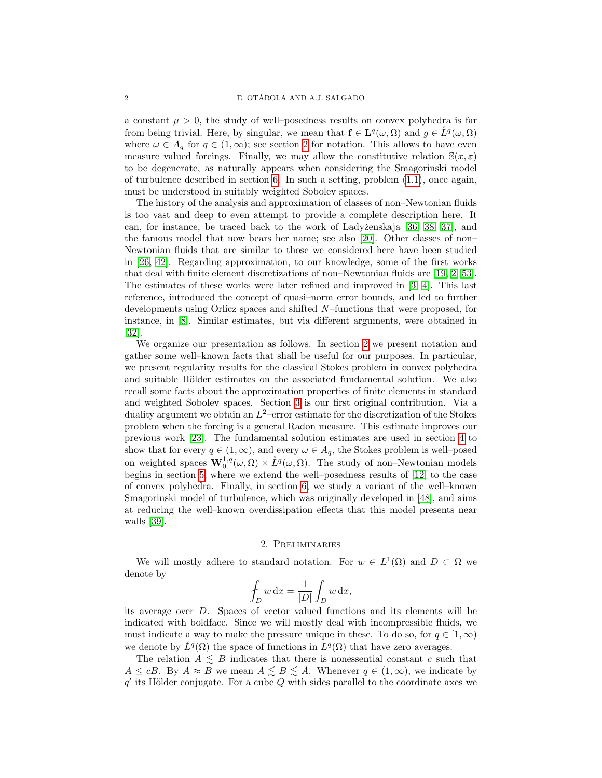a constant  $\mu > 0$ , the study of well–posedness results on convex polyhedra is far from being trivial. Here, by singular, we mean that  $f \in L^q(\omega, \Omega)$  and  $g \in \overset{\circ}{L}^q(\omega, \Omega)$ where  $\omega \in A_q$  for  $q \in (1,\infty)$ ; see section [2](#page-1-0) for notation. This allows to have even measure valued forcings. Finally, we may allow the constitutive relation  $\mathbb{S}(x,\epsilon)$ to be degenerate, as naturally appears when considering the Smagorinski model of turbulence described in section [6.](#page-14-0) In such a setting, problem [\(1.1\)](#page-0-0), once again, must be understood in suitably weighted Sobolev spaces.

The history of the analysis and approximation of classes of non–Newtonian fluids is too vast and deep to even attempt to provide a complete description here. It can, for instance, be traced back to the work of Ladyženskaja [\[36,](#page-24-1) [38,](#page-24-2) [37\]](#page-24-3), and the famous model that now bears her name; see also [\[20\]](#page-23-2). Other classes of non– Newtonian fluids that are similar to those we considered here have been studied in [\[26,](#page-23-3) [42\]](#page-24-4). Regarding approximation, to our knowledge, some of the first works that deal with finite element discretizations of non–Newtonian fluids are [\[19,](#page-23-4) [2,](#page-22-2) [53\]](#page-24-5). The estimates of these works were later refined and improved in [\[3,](#page-22-3) [4\]](#page-22-4). This last reference, introduced the concept of quasi–norm error bounds, and led to further developments using Orlicz spaces and shifted N –functions that were proposed, for instance, in [\[8\]](#page-22-5). Similar estimates, but via different arguments, were obtained in [\[32\]](#page-23-5).

We organize our presentation as follows. In section [2](#page-1-0) we present notation and gather some well–known facts that shall be useful for our purposes. In particular, we present regularity results for the classical Stokes problem in convex polyhedra and suitable Hölder estimates on the associated fundamental solution. We also recall some facts about the approximation properties of finite elements in standard and weighted Sobolev spaces. Section [3](#page-6-0) is our first original contribution. Via a duality argument we obtain an  $L^2$ -error estimate for the discretization of the Stokes problem when the forcing is a general Radon measure. This estimate improves our previous work [\[23\]](#page-23-6). The fundamental solution estimates are used in section [4](#page-7-0) to show that for every  $q \in (1,\infty)$ , and every  $\omega \in A_q$ , the Stokes problem is well–posed on weighted spaces  $\mathbf{W}_0^{1,q}(\omega,\Omega) \times \mathring{L}^q(\omega,\Omega)$ . The study of non-Newtonian models begins in section [5,](#page-11-0) where we extend the well–posedness results of [\[12\]](#page-23-1) to the case of convex polyhedra. Finally, in section [6,](#page-14-0) we study a variant of the well–known Smagorinski model of turbulence, which was originally developed in [\[48\]](#page-24-6), and aims at reducing the well–known overdissipation effects that this model presents near walls [\[39\]](#page-24-7).

#### 2. Preliminaries

<span id="page-1-0"></span>We will mostly adhere to standard notation. For  $w \in L^1(\Omega)$  and  $D \subset \Omega$  we denote by

$$
\oint_D w \, dx = \frac{1}{|D|} \int_D w \, dx,
$$

its average over D. Spaces of vector valued functions and its elements will be indicated with boldface. Since we will mostly deal with incompressible fluids, we must indicate a way to make the pressure unique in these. To do so, for  $q \in [1,\infty)$ we denote by  $\mathring{L}^q(\Omega)$  the space of functions in  $L^q(\Omega)$  that have zero averages.

The relation  $A \leq B$  indicates that there is nonessential constant c such that  $A \leq cB$ . By  $A \approx B$  we mean  $A \leq B \leq A$ . Whenever  $q \in (1, \infty)$ , we indicate by  $q'$  its Hölder conjugate. For a cube Q with sides parallel to the coordinate axes we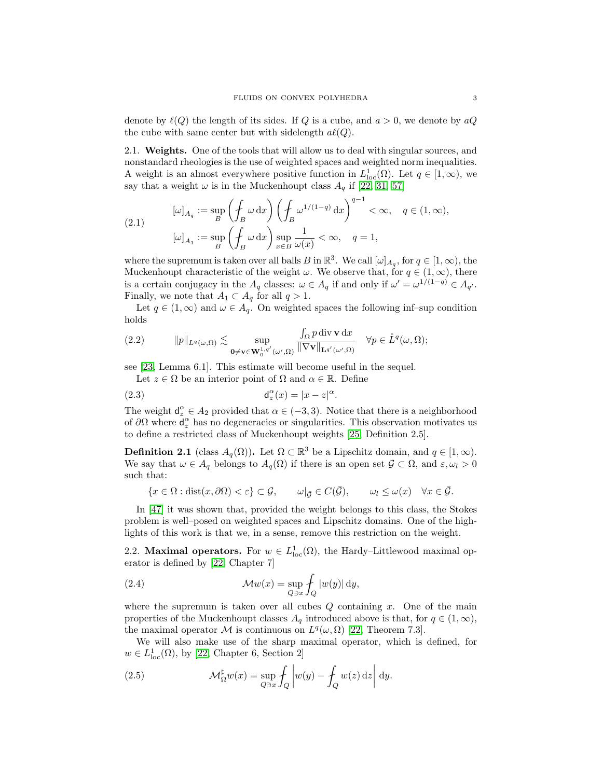denote by  $\ell(Q)$  the length of its sides. If Q is a cube, and  $a > 0$ , we denote by  $aQ$ the cube with same center but with sidelength  $a\ell(Q)$ .

2.1. Weights. One of the tools that will allow us to deal with singular sources, and nonstandard rheologies is the use of weighted spaces and weighted norm inequalities. A weight is an almost everywhere positive function in  $L^1_{loc}(\Omega)$ . Let  $q \in [1,\infty)$ , we say that a weight  $\omega$  is in the Muckenhoupt class  $A_q$  if [\[22,](#page-23-7) [31,](#page-23-8) [57\]](#page-24-8)

(2.1) 
$$
[\omega]_{A_q} := \sup_B \left( \oint_B \omega \, dx \right) \left( \oint_B \omega^{1/(1-q)} \, dx \right)^{q-1} < \infty, \quad q \in (1, \infty),
$$

$$
[\omega]_{A_1} := \sup_B \left( \oint_B \omega \, dx \right) \sup_{x \in B} \frac{1}{\omega(x)} < \infty, \quad q = 1,
$$

where the supremum is taken over all balls B in  $\mathbb{R}^3$ . We call  $[\omega]_{A_q}$ , for  $q \in [1,\infty)$ , the Muckenhoupt characteristic of the weight  $\omega$ . We observe that, for  $q \in (1, \infty)$ , there is a certain conjugacy in the  $A_q$  classes:  $\omega \in A_q$  if and only if  $\omega' = \omega^{1/(1-q)} \in A_{q'}$ . Finally, we note that  $A_1 \subset A_q$  for all  $q > 1$ .

Let  $q \in (1,\infty)$  and  $\omega \in A_q$ . On weighted spaces the following inf–sup condition holds

<span id="page-2-0"></span>
$$
(2.2) \t\t\t ||p||_{L^{q}(\omega,\Omega)} \lesssim \sup_{\mathbf{0}\neq \mathbf{v}\in \mathbf{W}_{0}^{1,q'}(\omega',\Omega)} \frac{\int_{\Omega} p \operatorname{div} \mathbf{v} \, \mathrm{d}x}{\|\nabla \mathbf{v}\|_{\mathbf{L}^{q'}(\omega',\Omega)}} \quad \forall p \in \mathring{L}^{q}(\omega,\Omega);
$$

see [\[23,](#page-23-6) Lemma 6.1]. This estimate will become useful in the sequel.

Let  $z \in \Omega$  be an interior point of  $\Omega$  and  $\alpha \in \mathbb{R}$ . Define

(2.3) 
$$
\mathsf{d}_z^{\alpha}(x) = |x - z|^{\alpha}.
$$

The weight  $d_z^{\alpha} \in A_2$  provided that  $\alpha \in (-3, 3)$ . Notice that there is a neighborhood of  $\partial\Omega$  where  $\mathsf{d}_z^{\alpha}$  has no degeneracies or singularities. This observation motivates us to define a restricted class of Muckenhoupt weights [\[25,](#page-23-9) Definition 2.5].

**Definition 2.1** (class  $A_q(\Omega)$ ). Let  $\Omega \subset \mathbb{R}^3$  be a Lipschitz domain, and  $q \in [1, \infty)$ . We say that  $\omega \in A_q$  belongs to  $A_q(\Omega)$  if there is an open set  $\mathcal{G} \subset \Omega$ , and  $\varepsilon, \omega_l > 0$ such that:

$$
\{x \in \Omega : \text{dist}(x, \partial \Omega) < \varepsilon\} \subset \mathcal{G}, \qquad \omega|_{\mathcal{G}} \in C(\bar{\mathcal{G}}), \qquad \omega_l \leq \omega(x) \quad \forall x \in \bar{\mathcal{G}}.
$$

In [\[47\]](#page-24-9) it was shown that, provided the weight belongs to this class, the Stokes problem is well–posed on weighted spaces and Lipschitz domains. One of the highlights of this work is that we, in a sense, remove this restriction on the weight.

2.2. **Maximal operators.** For  $w \in L^1_{loc}(\Omega)$ , the Hardy–Littlewood maximal operator is defined by [\[22,](#page-23-7) Chapter 7]

(2.4) 
$$
\mathcal{M}w(x) = \sup_{Q \ni x} \int_Q |w(y)| dy,
$$

where the supremum is taken over all cubes  $Q$  containing  $x$ . One of the main properties of the Muckenhoupt classes  $A_q$  introduced above is that, for  $q \in (1,\infty)$ , the maximal operator M is continuous on  $L^q(\omega,\Omega)$  [\[22,](#page-23-7) Theorem 7.3].

We will also make use of the sharp maximal operator, which is defined, for  $w \in L^1_{loc}(\Omega)$ , by [\[22,](#page-23-7) Chapter 6, Section 2]

<span id="page-2-1"></span>(2.5) 
$$
\mathcal{M}_{\Omega}^{\sharp}w(x) = \sup_{Q \ni x} \int_{Q} \left| w(y) - \int_{Q} w(z) dz \right| dy.
$$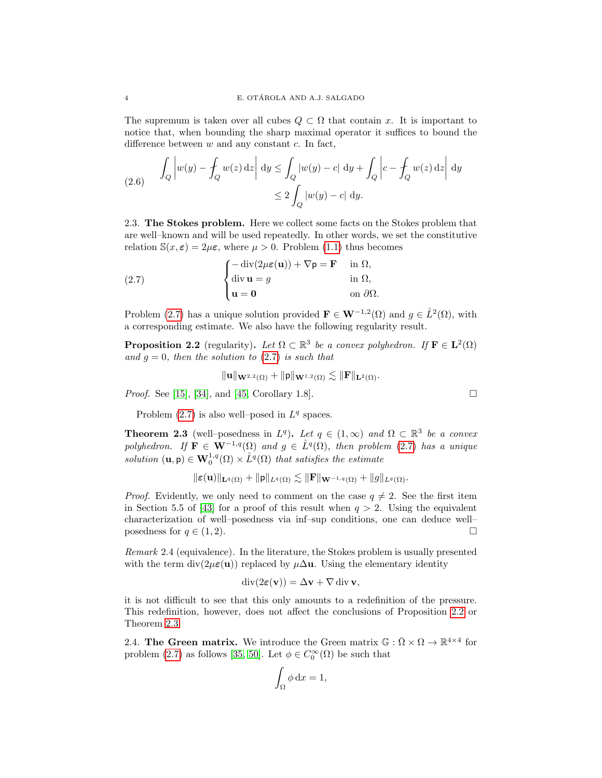The supremum is taken over all cubes  $Q \subset \Omega$  that contain x. It is important to notice that, when bounding the sharp maximal operator it suffices to bound the difference between  $w$  and any constant  $c$ . In fact,

<span id="page-3-5"></span>(2.6) 
$$
\int_{Q} \left| w(y) - \int_{Q} w(z) dz \right| dy \le \int_{Q} \left| w(y) - c \right| dy + \int_{Q} \left| c - \int_{Q} w(z) dz \right| dy
$$

$$
\le 2 \int_{Q} \left| w(y) - c \right| dy.
$$

2.3. The Stokes problem. Here we collect some facts on the Stokes problem that are well–known and will be used repeatedly. In other words, we set the constitutive relation  $\mathbb{S}(x,\epsilon) = 2\mu\epsilon$ , where  $\mu > 0$ . Problem [\(1.1\)](#page-0-0) thus becomes

<span id="page-3-1"></span>(2.7) 
$$
\begin{cases} -\operatorname{div}(2\mu\epsilon(\mathbf{u})) + \nabla \mathbf{p} = \mathbf{F} & \text{in } \Omega, \\ \operatorname{div} \mathbf{u} = g & \text{in } \Omega, \\ \mathbf{u} = \mathbf{0} & \text{on } \partial\Omega. \end{cases}
$$

Problem [\(2.7\)](#page-3-1) has a unique solution provided  $\mathbf{F} \in \mathbf{W}^{-1,2}(\Omega)$  and  $g \in \mathring{L}^2(\Omega)$ , with a corresponding estimate. We also have the following regularity result.

<span id="page-3-2"></span>**Proposition 2.2** (regularity). Let  $\Omega \subset \mathbb{R}^3$  be a convex polyhedron. If  $\mathbf{F} \in \mathbf{L}^2(\Omega)$ and  $g = 0$ , then the solution to [\(2.7\)](#page-3-1) is such that

$$
\|\mathbf{u}\|_{\mathbf{W}^{2,2}(\Omega)}+\|\mathsf{p}\|_{\mathbf{W}^{1,2}(\Omega)}\lesssim \|\mathbf{F}\|_{\mathbf{L}^2(\Omega)}.
$$

Proof. See [\[15\]](#page-23-10), [\[34\]](#page-23-11), and [\[45,](#page-24-10) Corollary 1.8].

Problem  $(2.7)$  is also well-posed in  $L^q$  spaces.

<span id="page-3-3"></span>**Theorem 2.3** (well–posedness in  $L^q$ ). Let  $q \in (1,\infty)$  and  $\Omega \subset \mathbb{R}^3$  be a convex polyhedron. If  $\mathbf{F} \in \mathbf{W}^{-1,q}(\Omega)$  and  $g \in \mathring{L}^{q}(\Omega)$ , then problem [\(2.7\)](#page-3-1) has a unique solution  $(\mathbf{u}, \mathbf{p}) \in \mathbf{W}^{1,q}_0(\Omega) \times \mathring{L}^q(\Omega)$  that satisfies the estimate

$$
\|\varepsilon(\mathbf{u})\|_{\mathbf{L}^q(\Omega)} + \|\mathbf{p}\|_{L^q(\Omega)} \lesssim \|\mathbf{F}\|_{\mathbf{W}^{-1,q}(\Omega)} + \|g\|_{L^q(\Omega)}.
$$

*Proof.* Evidently, we only need to comment on the case  $q \neq 2$ . See the first item in Section 5.5 of [\[43\]](#page-24-11) for a proof of this result when  $q > 2$ . Using the equivalent characterization of well–posedness via inf–sup conditions, one can deduce well– posedness for  $q \in (1, 2)$ .

<span id="page-3-4"></span>Remark 2.4 (equivalence). In the literature, the Stokes problem is usually presented with the term div( $2\mu\varepsilon(\mathbf{u})$ ) replaced by  $\mu\Delta\mathbf{u}$ . Using the elementary identity

$$
\operatorname{div}(2\varepsilon(\mathbf{v})) = \Delta \mathbf{v} + \nabla \operatorname{div} \mathbf{v},
$$

it is not difficult to see that this only amounts to a redefinition of the pressure. This redefinition, however, does not affect the conclusions of Proposition [2.2](#page-3-2) or Theorem [2.3.](#page-3-3)

<span id="page-3-0"></span>2.4. The Green matrix. We introduce the Green matrix  $\mathbb{G} : \overline{\Omega} \times \Omega \to \mathbb{R}^{4 \times 4}$  for problem [\(2.7\)](#page-3-1) as follows [\[35,](#page-23-12) [50\]](#page-24-12). Let  $\phi \in C_0^{\infty}(\Omega)$  be such that

$$
\int_{\Omega} \phi \, \mathrm{d}x = 1,
$$

$$
\Box
$$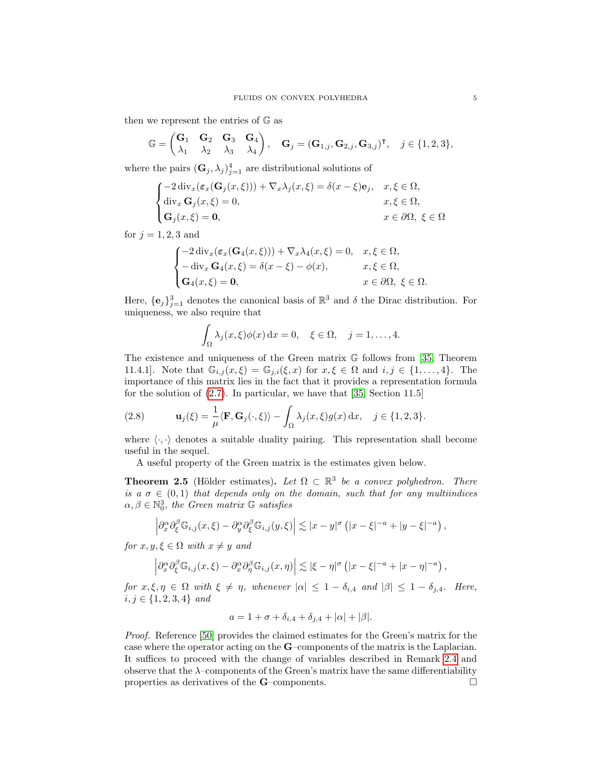then we represent the entries of G as

$$
\mathbb{G} = \begin{pmatrix} \mathbf{G}_1 & \mathbf{G}_2 & \mathbf{G}_3 & \mathbf{G}_4 \\ \lambda_1 & \lambda_2 & \lambda_3 & \lambda_4 \end{pmatrix}, \quad \mathbf{G}_j = (\mathbf{G}_{1,j}, \mathbf{G}_{2,j}, \mathbf{G}_{3,j})^\mathsf{T}, \quad j \in \{1, 2, 3\},
$$

where the pairs  $(\mathbf{G}_j, \lambda_j)_{j=1}^4$  are distributional solutions of

$$
\begin{cases}\n-2 \operatorname{div}_x(\varepsilon_x(\mathbf{G}_j(x,\xi))) + \nabla_x \lambda_j(x,\xi) = \delta(x-\xi)\mathbf{e}_j, & x,\xi \in \Omega, \\
\operatorname{div}_x \mathbf{G}_j(x,\xi) = 0, & x,\xi \in \Omega, \\
\mathbf{G}_j(x,\xi) = \mathbf{0}, & x \in \partial\Omega, \xi \in \Omega\n\end{cases}
$$

for  $j = 1, 2, 3$  and

$$
\begin{cases}\n-2 \operatorname{div}_x(\varepsilon_x(\mathbf{G}_4(x,\xi))) + \nabla_x \lambda_4(x,\xi) = 0, & x, \xi \in \Omega, \\
-\operatorname{div}_x \mathbf{G}_4(x,\xi) = \delta(x-\xi) - \phi(x), & x, \xi \in \Omega, \\
\mathbf{G}_4(x,\xi) = \mathbf{0}, & x \in \partial\Omega, \xi \in \Omega.\n\end{cases}
$$

Here,  $\{\mathbf{e}_j\}_{j=1}^3$  denotes the canonical basis of  $\mathbb{R}^3$  and  $\delta$  the Dirac distribution. For uniqueness, we also require that

$$
\int_{\Omega} \lambda_j(x,\xi) \phi(x) dx = 0, \quad \xi \in \Omega, \quad j = 1, \dots, 4.
$$

The existence and uniqueness of the Green matrix G follows from [\[35,](#page-23-12) Theorem 11.4.1]. Note that  $\mathbb{G}_{i,j}(x,\xi) = \mathbb{G}_{j,i}(\xi,x)$  for  $x,\xi \in \Omega$  and  $i,j \in \{1,\ldots,4\}$ . The importance of this matrix lies in the fact that it provides a representation formula for the solution of [\(2.7\)](#page-3-1). In particular, we have that [\[35,](#page-23-12) Section 11.5]

<span id="page-4-0"></span>(2.8) 
$$
\mathbf{u}_{j}(\xi) = \frac{1}{\mu} \langle \mathbf{F}, \mathbf{G}_{j}(\cdot, \xi) \rangle - \int_{\Omega} \lambda_{j}(x, \xi) g(x) dx, \quad j \in \{1, 2, 3\}.
$$

where  $\langle \cdot, \cdot \rangle$  denotes a suitable duality pairing. This representation shall become useful in the sequel.

A useful property of the Green matrix is the estimates given below.

<span id="page-4-1"></span>**Theorem 2.5** (Hölder estimates). Let  $\Omega \subset \mathbb{R}^3$  be a convex polyhedron. There is a  $\sigma \in (0,1)$  that depends only on the domain, such that for any multiindices  $\alpha, \beta \in \mathbb{N}_0^3$ , the Green matrix  $\mathbb G$  satisfies

$$
\left|\partial_x^{\alpha}\partial_{\xi}^{\beta}\mathbb{G}_{i,j}(x,\xi)-\partial_y^{\alpha}\partial_{\xi}^{\beta}\mathbb{G}_{i,j}(y,\xi)\right|\lesssim|x-y|^{\sigma}\left(|x-\xi|^{-a}+|y-\xi|^{-a}\right),
$$

for  $x, y, \xi \in \Omega$  with  $x \neq y$  and

$$
\left|\partial_x^{\alpha}\partial_{\xi}^{\beta}\mathbb{G}_{i,j}(x,\xi)-\partial_x^{\alpha}\partial_{\eta}^{\beta}\mathbb{G}_{i,j}(x,\eta)\right|\lesssim |\xi-\eta|^{\sigma}\left(|x-\xi|^{-a}+|x-\eta|^{-a}\right),
$$

for  $x, \xi, \eta \in \Omega$  with  $\xi \neq \eta$ , whenever  $|\alpha| \leq 1 - \delta_{i,4}$  and  $|\beta| \leq 1 - \delta_{j,4}$ . Here,  $i, j \in \{1, 2, 3, 4\}$  and

$$
a = 1 + \sigma + \delta_{i,4} + \delta_{j,4} + |\alpha| + |\beta|.
$$

Proof. Reference [\[50\]](#page-24-12) provides the claimed estimates for the Green's matrix for the case where the operator acting on the G–components of the matrix is the Laplacian. It suffices to proceed with the change of variables described in Remark [2.4](#page-3-4) and observe that the λ–components of the Green's matrix have the same differentiability properties as derivatives of the **G**–components.  $\Box$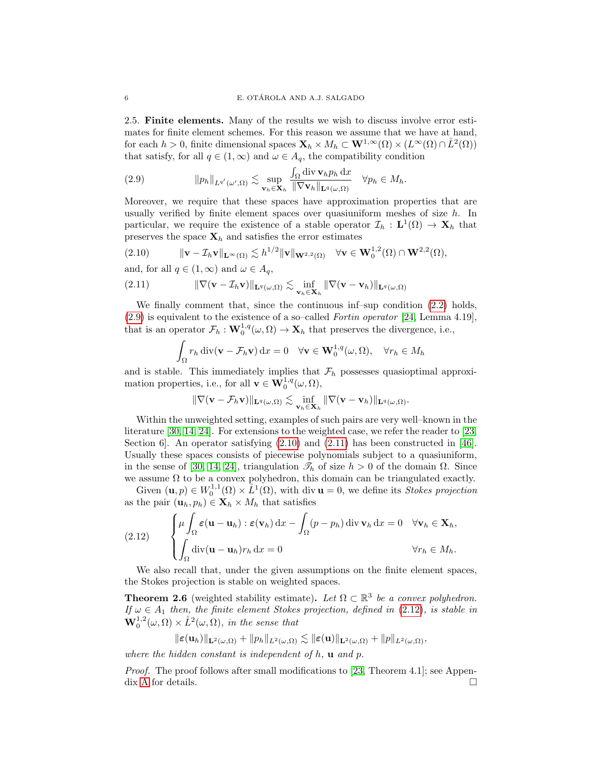2.5. Finite elements. Many of the results we wish to discuss involve error estimates for finite element schemes. For this reason we assume that we have at hand, for each  $h > 0$ , finite dimensional spaces  $\mathbf{X}_h \times M_h \subset \mathbf{W}^{1,\infty}(\Omega) \times (L^{\infty}(\Omega) \cap L^2(\Omega))$ that satisfy, for all  $q \in (1,\infty)$  and  $\omega \in A_q$ , the compatibility condition

<span id="page-5-0"></span>(2.9) 
$$
\|p_h\|_{L^{q'}(\omega',\Omega)} \lesssim \sup_{\mathbf{v}_h \in \mathbf{X}_h} \frac{\int_{\Omega} \operatorname{div} \mathbf{v}_h p_h \, \mathrm{d}x}{\|\nabla \mathbf{v}_h\|_{\mathbf{L}^q(\omega,\Omega)}} \quad \forall p_h \in M_h.
$$

Moreover, we require that these spaces have approximation properties that are usually verified by finite element spaces over quasiuniform meshes of size  $h$ . In particular, we require the existence of a stable operator  $\mathcal{I}_h : L^1(\Omega) \to \mathbf{X}_h$  that preserves the space  $\mathbf{X}_h$  and satisfies the error estimates

<span id="page-5-1"></span>(2.10) 
$$
\|\mathbf{v}-\mathcal{I}_h\mathbf{v}\|_{\mathbf{L}^{\infty}(\Omega)} \lesssim h^{1/2} \|\mathbf{v}\|_{\mathbf{W}^{2,2}(\Omega)} \quad \forall \mathbf{v} \in \mathbf{W}_0^{1,2}(\Omega) \cap \mathbf{W}^{2,2}(\Omega),
$$

and, for all  $q \in (1,\infty)$  and  $\omega \in A_q$ ,

(2.11) 
$$
\|\nabla(\mathbf{v}-\mathcal{I}_h\mathbf{v})\|_{\mathbf{L}^q(\omega,\Omega)} \lesssim \inf_{\mathbf{v}_h\in\mathbf{X}_h} \|\nabla(\mathbf{v}-\mathbf{v}_h)\|_{\mathbf{L}^q(\omega,\Omega)}
$$

We finally comment that, since the continuous inf–sup condition [\(2.2\)](#page-2-0) holds, [\(2.9\)](#page-5-0) is equivalent to the existence of a so–called Fortin operator [\[24,](#page-23-13) Lemma 4.19], that is an operator  $\mathcal{F}_h : \mathbf{W}_0^{1,q}(\omega,\Omega) \to \mathbf{X}_h$  that preserves the divergence, i.e.,

<span id="page-5-2"></span>
$$
\int_{\Omega} r_h \operatorname{div}(\mathbf{v} - \mathcal{F}_h \mathbf{v}) \, dx = 0 \quad \forall \mathbf{v} \in \mathbf{W}_0^{1,q}(\omega, \Omega), \quad \forall r_h \in M_h
$$

and is stable. This immediately implies that  $\mathcal{F}_h$  possesses quasioptimal approximation properties, i.e., for all  $\mathbf{v} \in \mathbf{W}_0^{1,q}(\omega,\Omega)$ ,

$$
\|\nabla(\mathbf{v}-\mathcal{F}_h\mathbf{v})\|_{\mathbf{L}^q(\omega,\Omega)} \lesssim \inf_{\mathbf{v}_h\in\mathbf{X}_h} \|\nabla(\mathbf{v}-\mathbf{v}_h)\|_{\mathbf{L}^q(\omega,\Omega)}.
$$

Within the unweighted setting, examples of such pairs are very well–known in the literature [\[30,](#page-23-14) [14,](#page-23-15) [24\]](#page-23-13). For extensions to the weighted case, we refer the reader to [\[23,](#page-23-6) Section 6]. An operator satisfying [\(2.10\)](#page-5-1) and [\(2.11\)](#page-5-2) has been constructed in [\[46\]](#page-24-13). Usually these spaces consists of piecewise polynomials subject to a quasiuniform, in the sense of [\[30,](#page-23-14) [14,](#page-23-15) [24\]](#page-23-13), triangulation  $\mathcal{I}_h$  of size  $h > 0$  of the domain  $\Omega$ . Since we assume  $\Omega$  to be a convex polyhedron, this domain can be triangulated exactly.

Given  $(\mathbf{u}, p) \in W_0^{1,1}(\Omega) \times L^1(\Omega)$ , with div  $\mathbf{u} = 0$ , we define its *Stokes projection* as the pair  $(\mathbf{u}_h, p_h) \in \mathbf{X}_h \times M_h$  that satisfies

<span id="page-5-3"></span>(2.12) 
$$
\begin{cases} \mu \int_{\Omega} \varepsilon (\mathbf{u} - \mathbf{u}_h) : \varepsilon (\mathbf{v}_h) \, dx - \int_{\Omega} (p - p_h) \, \text{div} \, \mathbf{v}_h \, dx = 0 \quad \forall \mathbf{v}_h \in \mathbf{X}_h, \\ \int_{\Omega} \text{div}(\mathbf{u} - \mathbf{u}_h) r_h \, dx = 0 \qquad \qquad \forall r_h \in M_h. \end{cases}
$$

We also recall that, under the given assumptions on the finite element spaces, the Stokes projection is stable on weighted spaces.

<span id="page-5-4"></span>**Theorem 2.6** (weighted stability estimate). Let  $\Omega \subset \mathbb{R}^3$  be a convex polyhedron. If  $\omega \in A_1$  then, the finite element Stokes projection, defined in [\(2.12\)](#page-5-3), is stable in  $\mathbf{W}_0^{1,2}(\omega,\Omega) \times \mathring{L}^2(\omega,\Omega)$ , in the sense that

$$
\|\boldsymbol{\varepsilon}(\mathbf{u}_h)\|_{\mathbf{L}^2(\omega,\Omega)}+\|p_h\|_{L^2(\omega,\Omega)}\lesssim\|\boldsymbol{\varepsilon}(\mathbf{u})\|_{\mathbf{L}^2(\omega,\Omega)}+\|p\|_{L^2(\omega,\Omega)},
$$

where the hidden constant is independent of  $h$ ,  $\bf{u}$  and  $p$ .

Proof. The proof follows after small modifications to [\[23,](#page-23-6) Theorem 4.1]; see Appen-dix [A](#page-19-0) for details.  $\Box$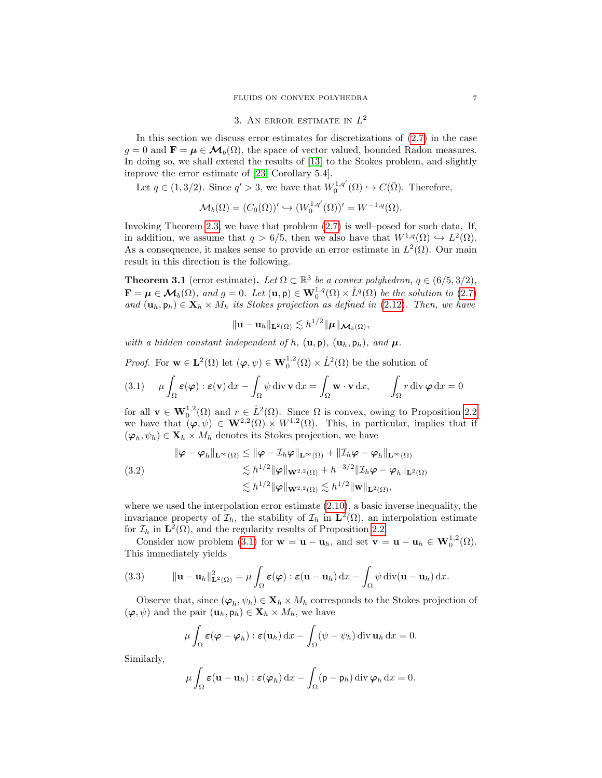# 3. AN ERROR ESTIMATE IN  $L^2$

<span id="page-6-0"></span>In this section we discuss error estimates for discretizations of [\(2.7\)](#page-3-1) in the case  $q = 0$  and  $\mathbf{F} = \boldsymbol{\mu} \in \mathcal{M}_b(\Omega)$ , the space of vector valued, bounded Radon measures. In doing so, we shall extend the results of [\[13\]](#page-23-16) to the Stokes problem, and slightly improve the error estimate of [\[23,](#page-23-6) Corollary 5.4].

Let  $q \in (1, 3/2)$ . Since  $q' > 3$ , we have that  $W_0^{1,q'}(\Omega) \hookrightarrow C(\overline{\Omega})$ . Therefore,

$$
\mathcal{M}_b(\Omega) = (C_0(\overline{\Omega}))' \hookrightarrow (W_0^{1,q'}(\Omega))' = W^{-1,q}(\Omega).
$$

Invoking Theorem [2.3,](#page-3-3) we have that problem [\(2.7\)](#page-3-1) is well–posed for such data. If, in addition, we assume that  $q > 6/5$ , then we also have that  $W^{1,q}(\Omega) \hookrightarrow L^2(\Omega)$ . As a consequence, it makes sense to provide an error estimate in  $L^2(\Omega)$ . Our main result in this direction is the following.

**Theorem 3.1** (error estimate). Let  $\Omega \subset \mathbb{R}^3$  be a convex polyhedron,  $q \in (6/5, 3/2)$ ,  $\mathbf{F} = \boldsymbol{\mu} \in \mathcal{M}_b(\Omega)$ , and  $g = 0$ . Let  $(\mathbf{u}, \mathbf{p}) \in \mathbf{W}_0^{1,q}(\Omega) \times \mathring{L}^q(\Omega)$  be the solution to [\(2.7\)](#page-3-1) and  $(\mathbf{u}_h, \mathbf{p}_h) \in \mathbf{X}_h \times M_h$  its Stokes projection as defined in [\(2.12\)](#page-5-3). Then, we have

$$
\|\mathbf{u}-\mathbf{u}_h\|_{\mathbf{L}^2(\Omega)} \lesssim h^{1/2} \|\boldsymbol{\mu}\|_{\boldsymbol{\mathcal{M}}_b(\Omega)},
$$

with a hidden constant independent of h,  $(\mathbf{u}, \mathbf{p})$ ,  $(\mathbf{u}_h, \mathbf{p}_h)$ , and  $\boldsymbol{\mu}$ .

*Proof.* For  $\mathbf{w} \in \mathbf{L}^2(\Omega)$  let  $(\varphi, \psi) \in \mathbf{W}_0^{1,2}(\Omega) \times \mathring{L}^2(\Omega)$  be the solution of

<span id="page-6-1"></span>(3.1) 
$$
\mu \int_{\Omega} \varepsilon(\varphi) : \varepsilon(\mathbf{v}) \, dx - \int_{\Omega} \psi \, \text{div} \, \mathbf{v} \, dx = \int_{\Omega} \mathbf{w} \cdot \mathbf{v} \, dx, \qquad \int_{\Omega} r \, \text{div} \, \varphi \, dx = 0
$$

for all  $\mathbf{v} \in \mathbf{W}_0^{1,2}(\Omega)$  and  $r \in \mathring{L}^2(\Omega)$ . Since  $\Omega$  is convex, owing to Proposition [2.2](#page-3-2) we have that  $(\varphi, \psi) \in \mathbf{W}^{2,2}(\Omega) \times W^{1,2}(\Omega)$ . This, in particular, implies that if  $(\varphi_h, \psi_h) \in \mathbf{X}_h \times M_h$  denotes its Stokes projection, we have

<span id="page-6-3"></span>
$$
\|\boldsymbol{\varphi} - \boldsymbol{\varphi}_h\|_{\mathbf{L}^{\infty}(\Omega)} \le \|\boldsymbol{\varphi} - \mathcal{I}_h\boldsymbol{\varphi}\|_{\mathbf{L}^{\infty}(\Omega)} + \|\mathcal{I}_h\boldsymbol{\varphi} - \boldsymbol{\varphi}_h\|_{\mathbf{L}^{\infty}(\Omega)}
$$
  
(3.2)  

$$
\lesssim h^{1/2} \|\boldsymbol{\varphi}\|_{\mathbf{W}^{2,2}(\Omega)} + h^{-3/2} \|\mathcal{I}_h\boldsymbol{\varphi} - \boldsymbol{\varphi}_h\|_{\mathbf{L}^2(\Omega)}
$$

$$
\lesssim h^{1/2} \|\boldsymbol{\varphi}\|_{\mathbf{W}^{2,2}(\Omega)} \lesssim h^{1/2} \|\mathbf{w}\|_{\mathbf{L}^2(\Omega)},
$$

where we used the interpolation error estimate [\(2.10\)](#page-5-1), a basic inverse inequality, the invariance property of  $\mathcal{I}_h$ , the stability of  $\mathcal{I}_h$  in  $\mathbf{L}^2(\Omega)$ , an interpolation estimate for  $\mathcal{I}_h$  in  $\mathbf{L}^2(\Omega)$ , and the regularity results of Proposition [2.2.](#page-3-2)

Consider now problem [\(3.1\)](#page-6-1) for  $\mathbf{w} = \mathbf{u} - \mathbf{u}_h$ , and set  $\mathbf{v} = \mathbf{u} - \mathbf{u}_h \in \mathbf{W}_0^{1,2}(\Omega)$ . This immediately yields

<span id="page-6-2"></span>(3.3) 
$$
\|\mathbf{u}-\mathbf{u}_h\|_{\mathbf{L}^2(\Omega)}^2 = \mu \int_{\Omega} \varepsilon(\boldsymbol{\varphi}) : \varepsilon(\mathbf{u}-\mathbf{u}_h) \, dx - \int_{\Omega} \psi \, \mathrm{div}(\mathbf{u}-\mathbf{u}_h) \, dx.
$$

Observe that, since  $(\varphi_h, \psi_h) \in \mathbf{X}_h \times M_h$  corresponds to the Stokes projection of  $(\varphi, \psi)$  and the pair  $(\mathbf{u}_h, \mathbf{p}_h) \in \mathbf{X}_h \times M_h$ , we have

$$
\mu \int_{\Omega} \varepsilon (\boldsymbol{\varphi} - \boldsymbol{\varphi}_h) : \varepsilon(\mathbf{u}_h) \, dx - \int_{\Omega} (\psi - \psi_h) \, \mathrm{div} \, \mathbf{u}_h \, dx = 0.
$$

Similarly,

$$
\mu \int_{\Omega} \varepsilon (\mathbf{u} - \mathbf{u}_h) : \varepsilon(\varphi_h) \, dx - \int_{\Omega} (\mathbf{p} - \mathbf{p}_h) \, \mathrm{div} \, \varphi_h \, dx = 0.
$$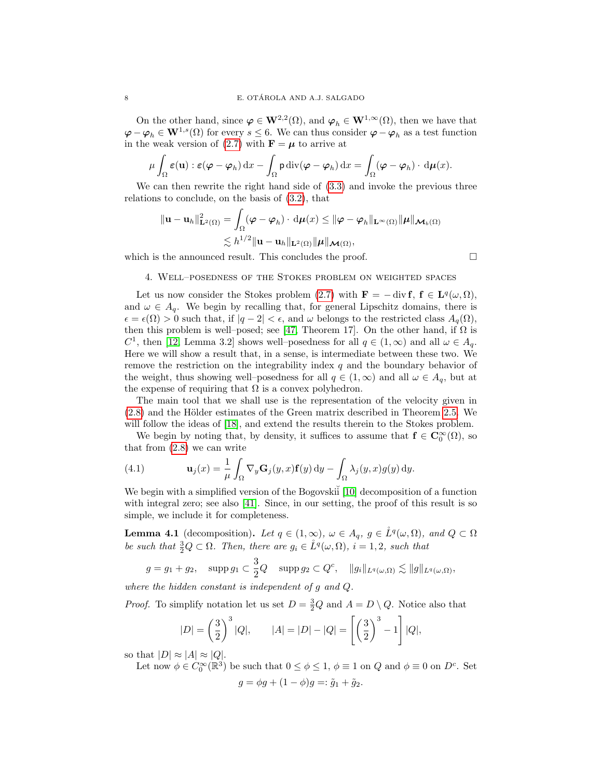On the other hand, since  $\varphi \in \mathbf{W}^{2,2}(\Omega)$ , and  $\varphi_h \in \mathbf{W}^{1,\infty}(\Omega)$ , then we have that  $\varphi - \varphi_h \in \mathbf{W}^{1,s}(\Omega)$  for every  $s \leq 6$ . We can thus consider  $\varphi - \varphi_h$  as a test function in the weak version of [\(2.7\)](#page-3-1) with  $\mathbf{F} = \boldsymbol{\mu}$  to arrive at

$$
\mu \int_{\Omega} \varepsilon(\mathbf{u}) : \varepsilon(\boldsymbol{\varphi} - \boldsymbol{\varphi}_h) \, dx - \int_{\Omega} \mathsf{p} \operatorname{div}(\boldsymbol{\varphi} - \boldsymbol{\varphi}_h) \, dx = \int_{\Omega} (\boldsymbol{\varphi} - \boldsymbol{\varphi}_h) \cdot d\boldsymbol{\mu}(x).
$$

We can then rewrite the right hand side of  $(3.3)$  and invoke the previous three relations to conclude, on the basis of [\(3.2\)](#page-6-3), that

$$
\|\mathbf{u}-\mathbf{u}_h\|_{\mathbf{L}^2(\Omega)}^2 = \int_{\Omega} (\varphi - \varphi_h) \cdot d\mu(x) \leq \|\varphi - \varphi_h\|_{\mathbf{L}^\infty(\Omega)} \|\mu\|_{\mathcal{M}_b(\Omega)}
$$
  

$$
\lesssim h^{1/2} \|\mathbf{u}-\mathbf{u}_h\|_{\mathbf{L}^2(\Omega)} \|\mu\|_{\mathcal{M}(\Omega)},
$$

<span id="page-7-0"></span>which is the announced result. This concludes the proof.  $\Box$ 

## 4. Well–posedness of the Stokes problem on weighted spaces

Let us now consider the Stokes problem [\(2.7\)](#page-3-1) with  $\mathbf{F} = -\operatorname{div} \mathbf{f}$ ,  $\mathbf{f} \in \mathbf{L}^q(\omega,\Omega)$ , and  $\omega \in A_q$ . We begin by recalling that, for general Lipschitz domains, there is  $\epsilon = \epsilon(\Omega) > 0$  such that, if  $|q - 2| < \epsilon$ , and  $\omega$  belongs to the restricted class  $A_q(\Omega)$ , then this problem is well–posed; see [\[47,](#page-24-9) Theorem 17]. On the other hand, if  $\Omega$  is C<sup>1</sup>, then [\[12,](#page-23-1) Lemma 3.2] shows well–posedness for all  $q \in (1,\infty)$  and all  $\omega \in A_q$ . Here we will show a result that, in a sense, is intermediate between these two. We remove the restriction on the integrability index  $q$  and the boundary behavior of the weight, thus showing well–posedness for all  $q \in (1,\infty)$  and all  $\omega \in A_q$ , but at the expense of requiring that  $\Omega$  is a convex polyhedron.

The main tool that we shall use is the representation of the velocity given in  $(2.8)$  and the Hölder estimates of the Green matrix described in Theorem [2.5.](#page-4-1) We will follow the ideas of [\[18\]](#page-23-17), and extend the results therein to the Stokes problem.

We begin by noting that, by density, it suffices to assume that  $f \in C_0^{\infty}(\Omega)$ , so that from [\(2.8\)](#page-4-0) we can write

<span id="page-7-2"></span>(4.1) 
$$
\mathbf{u}_{j}(x) = \frac{1}{\mu} \int_{\Omega} \nabla_{y} \mathbf{G}_{j}(y, x) \mathbf{f}(y) dy - \int_{\Omega} \lambda_{j}(y, x) g(y) dy.
$$

We begin with a simplified version of the Bogovskii [\[10\]](#page-22-6) decomposition of a function with integral zero; see also [\[41\]](#page-24-14). Since, in our setting, the proof of this result is so simple, we include it for completeness.

<span id="page-7-1"></span>**Lemma 4.1** (decomposition). Let  $q \in (1,\infty)$ ,  $\omega \in A_q$ ,  $g \in \mathring{L}^q(\omega,\Omega)$ , and  $Q \subset \Omega$ be such that  $\frac{3}{2}Q \subset \Omega$ . Then, there are  $g_i \in \overset{\circ}{L}^q(\omega, \Omega)$ ,  $i = 1, 2$ , such that

$$
g = g_1 + g_2, \quad \text{supp } g_1 \subset \frac{3}{2}Q \quad \text{supp } g_2 \subset Q^c, \quad \|g_i\|_{L^q(\omega,\Omega)} \lesssim \|g\|_{L^q(\omega,\Omega)},
$$

where the hidden constant is independent of g and Q.

*Proof.* To simplify notation let us set  $D = \frac{3}{2}Q$  and  $A = D \setminus Q$ . Notice also that

$$
|D| = \left(\frac{3}{2}\right)^3 |Q|, \qquad |A| = |D| - |Q| = \left[\left(\frac{3}{2}\right)^3 - 1\right] |Q|,
$$

so that  $|D| \approx |A| \approx |Q|$ .

Let now  $\phi \in C_0^{\infty}(\mathbb{R}^3)$  be such that  $0 \le \phi \le 1$ ,  $\phi \equiv 1$  on  $Q$  and  $\phi \equiv 0$  on  $D^c$ . Set  $q = \phi q + (1 - \phi)q =: \tilde{q}_1 + \tilde{q}_2.$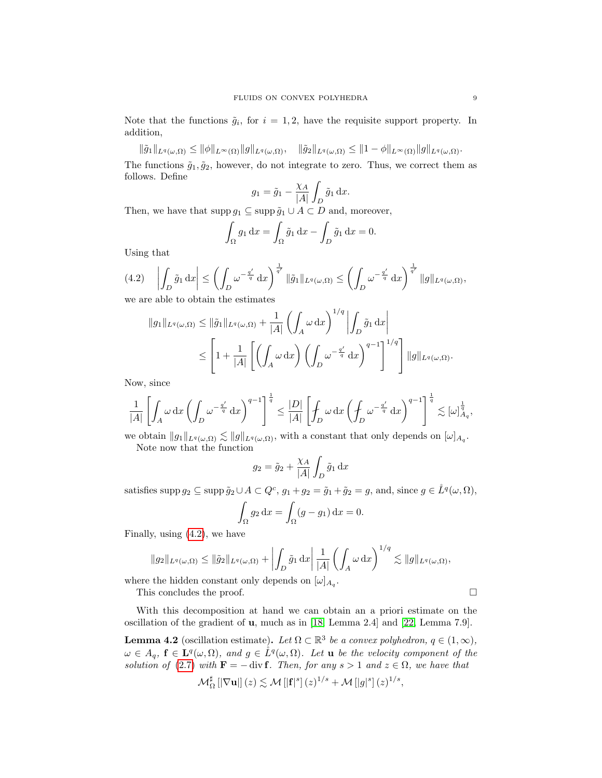Note that the functions  $\tilde{g}_i$ , for  $i = 1, 2$ , have the requisite support property. In addition,

 $\|\tilde{g}_1\|_{L^q(\omega,\Omega)} \leq \|\phi\|_{L^\infty(\Omega)} \|g\|_{L^q(\omega,\Omega)}, \quad \|\tilde{g}_2\|_{L^q(\omega,\Omega)} \leq \|1-\phi\|_{L^\infty(\Omega)} \|g\|_{L^q(\omega,\Omega)}.$ The functions  $\tilde{g}_1, \tilde{g}_2$ , however, do not integrate to zero. Thus, we correct them as follows. Define

$$
g_1 = \tilde{g}_1 - \frac{\chi_A}{|A|} \int_D \tilde{g}_1 \, dx.
$$

Then, we have that supp  $g_1 \subseteq \text{supp }\tilde{g}_1 \cup A \subset D$  and, moreover,

$$
\int_{\Omega} g_1 \, \mathrm{d}x = \int_{\Omega} \tilde{g}_1 \, \mathrm{d}x - \int_{D} \tilde{g}_1 \, \mathrm{d}x = 0.
$$

Using that

<span id="page-8-0"></span>(4.2) 
$$
\left| \int_D \tilde{g}_1 dx \right| \leq \left( \int_D \omega^{-\frac{q'}{q}} dx \right)^{\frac{1}{q'}} \|\tilde{g}_1\|_{L^q(\omega,\Omega)} \leq \left( \int_D \omega^{-\frac{q'}{q}} dx \right)^{\frac{1}{q'}} \|g\|_{L^q(\omega,\Omega)},
$$
 we are able to obtain the estimates

we are able to obtain the estimates

$$
||g_1||_{L^q(\omega,\Omega)} \le ||\tilde{g}_1||_{L^q(\omega,\Omega)} + \frac{1}{|A|} \left( \int_A \omega \,dx \right)^{1/q} \left| \int_D \tilde{g}_1 \,dx \right|
$$
  

$$
\le \left[ 1 + \frac{1}{|A|} \left[ \left( \int_A \omega \,dx \right) \left( \int_D \omega^{-\frac{q'}{q}} \,dx \right)^{q-1} \right]^{1/q} \right] ||g||_{L^q(\omega,\Omega)}.
$$

Now, since

$$
\frac{1}{|A|}\left[\int_A\omega\,\mathrm{d} x\left(\int_D\omega^{-\frac{q'}{q}}\,\mathrm{d} x\right)^{q-1}\right]^{\frac{1}{q}}\leq \frac{|D|}{|A|}\left[\int_D\omega\,\mathrm{d} x\left(\int_D\omega^{-\frac{q'}{q}}\,\mathrm{d} x\right)^{q-1}\right]^{\frac{1}{q}}\lesssim [\omega]_{A_q}^{\frac{1}{q}},
$$

we obtain  $||g_1||_{L^q(\omega,\Omega)} \lesssim ||g||_{L^q(\omega,\Omega)}$ , with a constant that only depends on  $[\omega]_{A_q}$ . Note now that the function

$$
g_2 = \tilde{g}_2 + \frac{\chi_A}{|A|} \int_D \tilde{g}_1 \, \mathrm{d}x
$$

satisfies supp  $g_2 \subseteq \text{supp }\tilde{g}_2 \cup A \subset Q^c$ ,  $g_1 + g_2 = \tilde{g}_1 + \tilde{g}_2 = g$ , and, since  $g \in \overset{\circ}{L}^q(\omega, \Omega)$ ,

$$
\int_{\Omega} g_2 \, \mathrm{d}x = \int_{\Omega} (g - g_1) \, \mathrm{d}x = 0.
$$

Finally, using [\(4.2\)](#page-8-0), we have

$$
\|g_2\|_{L^q(\omega,\Omega)}\leq \|\tilde g_2\|_{L^q(\omega,\Omega)}+\left|\int_D \tilde g_1 \,\mathrm{d} x\right|\frac{1}{|A|}\left(\int_A \omega \,\mathrm{d} x\right)^{1/q}\lesssim \|g\|_{L^q(\omega,\Omega)},
$$

where the hidden constant only depends on  $[\omega]_{A_q}$ .

This concludes the proof.

With this decomposition at hand we can obtain an a priori estimate on the oscillation of the gradient of u, much as in [\[18,](#page-23-17) Lemma 2.4] and [\[22,](#page-23-7) Lemma 7.9].

<span id="page-8-1"></span>**Lemma 4.2** (oscillation estimate). Let  $\Omega \subset \mathbb{R}^3$  be a convex polyhedron,  $q \in (1, \infty)$ ,  $\omega \in A_q$ ,  $f \in \mathbf{L}^q(\omega,\Omega)$ , and  $g \in \mathring{L}^q(\omega,\Omega)$ . Let **u** be the velocity component of the solution of [\(2.7\)](#page-3-1) with  $\mathbf{F} = - \text{div } \mathbf{f}$ . Then, for any  $s > 1$  and  $z \in \Omega$ , we have that

$$
\mathcal{M}_{\Omega}^{\sharp}\left[\left|\nabla\mathbf{u}\right|\right](z) \lesssim \mathcal{M}\left[\left|\mathbf{f}\right|^{s}\right](z)^{1/s} + \mathcal{M}\left[\left|g\right|^{s}\right](z)^{1/s},
$$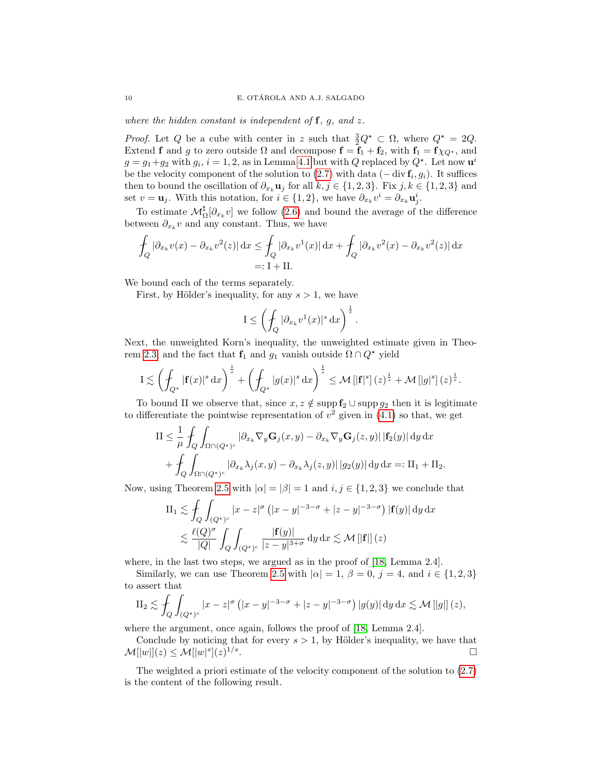where the hidden constant is independent of  $f$ ,  $g$ , and  $z$ .

*Proof.* Let Q be a cube with center in z such that  $\frac{3}{2}Q^* \subset \Omega$ , where  $Q^* = 2Q$ . Extend f and g to zero outside  $\Omega$  and decompose  $f = f_1 + f_2$ , with  $f_1 = f \chi_{Q^*}$ , and  $g = g_1 + g_2$  with  $g_i$ ,  $i = 1, 2$ , as in Lemma [4.1](#page-7-1) but with Q replaced by  $Q^*$ . Let now  $\mathbf{u}^i$ be the velocity component of the solution to  $(2.7)$  with data  $(-\text{div } \mathbf{f}_i, g_i)$ . It suffices then to bound the oscillation of  $\partial_{x_k} \mathbf{u}_j$  for all  $k, j \in \{1, 2, 3\}$ . Fix  $j, k \in \{1, 2, 3\}$  and set  $v = \mathbf{u}_j$ . With this notation, for  $i \in \{1, 2\}$ , we have  $\partial_{x_k} v^i = \partial_{x_k} \mathbf{u}_j^i$ .

To estimate  $\mathcal{M}_{\Omega}^{\sharp}[\partial_{x_k}v]$  we follow [\(2.6\)](#page-3-5) and bound the average of the difference between  $\partial_{x_k} v$  and any constant. Thus, we have

$$
\int_{Q} |\partial_{x_k} v(x) - \partial_{x_k} v^2(z)| dx \le \int_{Q} |\partial_{x_k} v^1(x)| dx + \int_{Q} |\partial_{x_k} v^2(x) - \partial_{x_k} v^2(z)| dx
$$
  
=: I + II.

We bound each of the terms separately.

First, by Hölder's inequality, for any  $s > 1$ , we have

$$
I \le \left(\int_Q |\partial_{x_k} v^1(x)|^s \,\mathrm{d}x\right)^{\frac{1}{s}}.
$$

Next, the unweighted Korn's inequality, the unweighted estimate given in Theo-rem [2.3,](#page-3-3) and the fact that  $f_1$  and  $g_1$  vanish outside  $\Omega \cap Q^*$  yield

$$
\mathrm{I} \lesssim \left( \oint_{Q^\star} |\mathbf{f}(x)|^s \,\mathrm{d}x \right)^{\frac{1}{s}} + \left( \oint_{Q^\star} |g(x)|^s \,\mathrm{d}x \right)^{\frac{1}{s}} \leq \mathcal{M} \left[ |\mathbf{f}|^s \right] (z)^{\frac{1}{s}} + \mathcal{M} \left[ |g|^s \right] (z)^{\frac{1}{s}}.
$$

To bound II we observe that, since  $x, z \notin \text{supp } f_2 \cup \text{supp } g_2$  then it is legitimate to differentiate the pointwise representation of  $v^2$  given in [\(4.1\)](#page-7-2) so that, we get

$$
\begin{split} \mathrm{II} &\leq \frac{1}{\mu} \int_{Q} \int_{\Omega \cap (Q^{\star})^c} |\partial_{x_k} \nabla_y \mathbf{G}_j(x, y) - \partial_{x_k} \nabla_y \mathbf{G}_j(z, y)| \, |\mathbf{f}_2(y)| \, \mathrm{d}y \, \mathrm{d}x \\ &+ \int_{Q} \int_{\Omega \cap (Q^{\star})^c} |\partial_{x_k} \lambda_j(x, y) - \partial_{x_k} \lambda_j(z, y)| \, |g_2(y)| \, \mathrm{d}y \, \mathrm{d}x =: \mathrm{II}_1 + \mathrm{II}_2. \end{split}
$$

Now, using Theorem [2.5](#page-4-1) with  $|\alpha| = |\beta| = 1$  and  $i, j \in \{1, 2, 3\}$  we conclude that

$$
\begin{split} \text{II}_1 &\lesssim \int_Q \int_{(Q^\star)^c} |x - z|^{\sigma} \left( |x - y|^{-3 - \sigma} + |z - y|^{-3 - \sigma} \right) |\mathbf{f}(y)| \, \mathrm{d}y \, \mathrm{d}x \\ &\lesssim \frac{\ell(Q)^{\sigma}}{|Q|} \int_Q \int_{(Q^\star)^c} \frac{|\mathbf{f}(y)|}{|z - y|^{3 + \sigma}} \, \mathrm{d}y \, \mathrm{d}x \lesssim \mathcal{M} \left[ |\mathbf{f}| \right] (z) \end{split}
$$

where, in the last two steps, we argued as in the proof of [\[18,](#page-23-17) Lemma 2.4].

Similarly, we can use Theorem [2.5](#page-4-1) with  $|\alpha|=1$ ,  $\beta=0$ ,  $j=4$ , and  $i \in \{1,2,3\}$ to assert that

$$
\mathrm{II}_2 \lesssim \int_Q \int_{(Q^*)^c} |x - z|^{\sigma} \left( |x - y|^{-3 - \sigma} + |z - y|^{-3 - \sigma} \right) |g(y)| \, \mathrm{d}y \, \mathrm{d}x \lesssim \mathcal{M} \left[ |g| \right](z),
$$

where the argument, once again, follows the proof of [\[18,](#page-23-17) Lemma 2.4].

Conclude by noticing that for every  $s > 1$ , by Hölder's inequality, we have that  $\mathcal{M}[|w|](z) \leq \mathcal{M}[|w|^s](z)^{1/s}$ .

The weighted a priori estimate of the velocity component of the solution to [\(2.7\)](#page-3-1) is the content of the following result.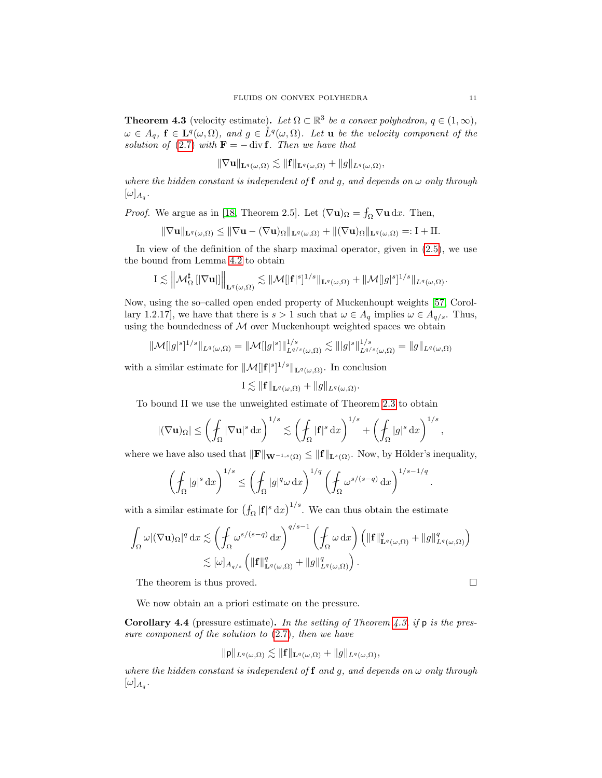<span id="page-10-0"></span>**Theorem 4.3** (velocity estimate). Let  $\Omega \subset \mathbb{R}^3$  be a convex polyhedron,  $q \in (1, \infty)$ ,  $\omega \in A_q$ ,  $f \in \mathbf{L}^q(\omega,\Omega)$ , and  $g \in \mathring{L}^q(\omega,\Omega)$ . Let **u** be the velocity component of the solution of [\(2.7\)](#page-3-1) with  $\mathbf{F} = - \text{div } \mathbf{f}$ . Then we have that

$$
\|\nabla \mathbf{u}\|_{\mathbf{L}^{q}(\omega,\Omega)} \lesssim \| \mathbf{f} \|_{\mathbf{L}^{q}(\omega,\Omega)} + \| g \|_{L^{q}(\omega,\Omega)},
$$

where the hidden constant is independent of  $f$  and  $g$ , and depends on  $\omega$  only through  $[\omega]_{A_q}$ .

*Proof.* We argue as in [\[18,](#page-23-17) Theorem 2.5]. Let  $(\nabla \mathbf{u})_{\Omega} = \int_{\Omega} \nabla \mathbf{u} \, dx$ . Then,

$$
\|\nabla \mathbf{u}\|_{\mathbf{L}^{q}(\omega,\Omega)} \leq \|\nabla \mathbf{u} - (\nabla \mathbf{u})_{\Omega}\|_{\mathbf{L}^{q}(\omega,\Omega)} + \|(\nabla \mathbf{u})_{\Omega}\|_{\mathbf{L}^{q}(\omega,\Omega)} =: \mathbf{I} + \mathbf{II}.
$$

In view of the definition of the sharp maximal operator, given in [\(2.5\)](#page-2-1), we use the bound from Lemma [4.2](#page-8-1) to obtain

$$
\mathrm{I} \lesssim \left\|{\cal M}_{\Omega}^{\sharp}\left[\left|\nabla{\mathbf u} \right|\right]\right\|_{{\bf L}^q(\omega,\Omega)} \lesssim \|{\cal M}[|{\bf f}|^s]^{1/s}\|_{{\bf L}^q(\omega,\Omega)} + \|{\cal M}[|g|^s]^{1/s}\|_{L^q(\omega,\Omega)}.
$$

Now, using the so–called open ended property of Muckenhoupt weights [\[57,](#page-24-8) Corollary 1.2.17], we have that there is  $s > 1$  such that  $\omega \in A_q$  implies  $\omega \in A_{q/s}$ . Thus, using the boundedness of  $M$  over Muckenhoupt weighted spaces we obtain

$$
\|\mathcal{M}[|g|^s]^{1/s}\|_{L^q(\omega,\Omega)} = \|\mathcal{M}[|g|^s]\|_{L^{q/s}(\omega,\Omega)}^{1/s} \lesssim \| |g|^s\|_{L^{q/s}(\omega,\Omega)}^{1/s} = \|g\|_{L^q(\omega,\Omega)}
$$

with a similar estimate for  $\|\mathcal{M}[||\mathbf{f}||^s]^{1/s}\|_{\mathbf{L}^q(\omega,\Omega)}$ . In conclusion

$$
I \lesssim \|\mathbf{f}\|_{\mathbf{L}^q(\omega,\Omega)} + \|g\|_{L^q(\omega,\Omega)}.
$$

To bound II we use the unweighted estimate of Theorem [2.3](#page-3-3) to obtain

$$
|(\nabla \mathbf{u})_{\Omega}| \leq \left(\int_{\Omega} |\nabla \mathbf{u}|^{s} d x\right)^{1/s} \lesssim \left(\int_{\Omega} |\mathbf{f}|^{s} d x\right)^{1/s} + \left(\int_{\Omega} |g|^{s} d x\right)^{1/s},
$$

where we have also used that  $\|\mathbf{F}\|_{\mathbf{W}^{-1,s}(\Omega)} \leq \|\mathbf{f}\|_{\mathbf{L}^s(\Omega)}$ . Now, by Hölder's inequality,

$$
\left(\int_{\Omega} |g|^{s} \, \mathrm{d}x\right)^{1/s} \le \left(\int_{\Omega} |g|^{q} \omega \, \mathrm{d}x\right)^{1/q} \left(\int_{\Omega} \omega^{s/(s-q)} \, \mathrm{d}x\right)^{1/s-1/q}
$$

with a similar estimate for  $(\int_{\Omega} |\mathbf{f}|^{s} d x)^{1/s}$ . We can thus obtain the estimate

$$
\int_{\Omega} \omega |(\nabla \mathbf{u})_{\Omega}|^q \,dx \lesssim \left(\int_{\Omega} \omega^{s/(s-q)} \,dx\right)^{q/s-1} \left(\int_{\Omega} \omega \,dx\right) \left(\|\mathbf{f}\|_{\mathbf{L}^q(\omega,\Omega)}^q + \|g\|_{L^q(\omega,\Omega)}^q\right) \lesssim [\omega]_{A_{q/s}} \left(\|\mathbf{f}\|_{\mathbf{L}^q(\omega,\Omega)}^q + \|g\|_{L^q(\omega,\Omega)}^q\right).
$$

The theorem is thus proved.  $\Box$ 

.

We now obtain an a priori estimate on the pressure.

<span id="page-10-1"></span>**Corollary 4.4** (pressure estimate). In the setting of Theorem [4.3,](#page-10-0) if p is the pressure component of the solution to  $(2.7)$ , then we have

$$
\|\mathbf{p}\|_{L^q(\omega,\Omega)} \lesssim \|\mathbf{f}\|_{\mathbf{L}^q(\omega,\Omega)} + \|g\|_{L^q(\omega,\Omega)},
$$

where the hidden constant is independent of  $f$  and  $g$ , and depends on  $\omega$  only through  $[\omega]_{A_q}$ .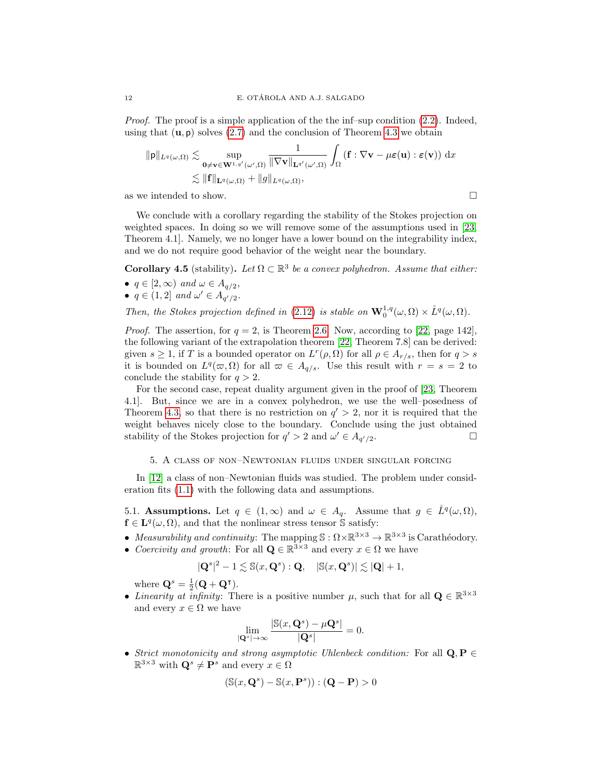*Proof.* The proof is a simple application of the the inf–sup condition  $(2.2)$ . Indeed, using that  $(\mathbf{u}, \mathbf{p})$  solves [\(2.7\)](#page-3-1) and the conclusion of Theorem [4.3](#page-10-0) we obtain

$$
\|\mathbf{p}\|_{L^{q}(\omega,\Omega)} \lesssim \sup_{\mathbf{0}\neq \mathbf{v}\in \mathbf{W}^{1,q'}(\omega',\Omega)} \frac{1}{\|\nabla \mathbf{v}\|_{\mathbf{L}^{q'}(\omega',\Omega)}} \int_{\Omega} (\mathbf{f}:\nabla \mathbf{v}-\mu \varepsilon(\mathbf{u}):\varepsilon(\mathbf{v})) \, \mathrm{d}x
$$
  

$$
\lesssim \|\mathbf{f}\|_{\mathbf{L}^{q}(\omega,\Omega)} + \|g\|_{L^{q}(\omega,\Omega)},
$$

as we intended to show.  $\hfill \square$ 

We conclude with a corollary regarding the stability of the Stokes projection on weighted spaces. In doing so we will remove some of the assumptions used in [\[23,](#page-23-6) Theorem 4.1]. Namely, we no longer have a lower bound on the integrability index, and we do not require good behavior of the weight near the boundary.

<span id="page-11-1"></span>**Corollary 4.5** (stability). Let  $\Omega \subset \mathbb{R}^3$  be a convex polyhedron. Assume that either: •  $q \in [2, \infty)$  and  $\omega \in A_{q/2}$ ,

•  $q \in (1,2]$  and  $\omega' \in A_{q'/2}$ .

Then, the Stokes projection defined in [\(2.12\)](#page-5-3) is stable on  $\mathbf{W}_0^{1,q}(\omega,\Omega) \times \mathring{L}^q(\omega,\Omega)$ .

*Proof.* The assertion, for  $q = 2$ , is Theorem [2.6.](#page-5-4) Now, according to [\[22,](#page-23-7) page 142], the following variant of the extrapolation theorem [\[22,](#page-23-7) Theorem 7.8] can be derived: given  $s \geq 1$ , if T is a bounded operator on  $L^r(\rho, \Omega)$  for all  $\rho \in A_{r/s}$ , then for  $q > s$ it is bounded on  $L^q(\varpi, \Omega)$  for all  $\varpi \in A_{q/s}$ . Use this result with  $r = s = 2$  to conclude the stability for  $q > 2$ .

For the second case, repeat duality argument given in the proof of [\[23,](#page-23-6) Theorem 4.1]. But, since we are in a convex polyhedron, we use the well–posedness of Theorem [4.3,](#page-10-0) so that there is no restriction on  $q' > 2$ , nor it is required that the weight behaves nicely close to the boundary. Conclude using the just obtained stability of the Stokes projection for  $q' > 2$  and  $\omega' \in A_{q'/2}$ .

## 5. A class of non–Newtonian fluids under singular forcing

<span id="page-11-0"></span>In [\[12\]](#page-23-1) a class of non–Newtonian fluids was studied. The problem under consideration fits [\(1.1\)](#page-0-0) with the following data and assumptions.

<span id="page-11-2"></span>5.1. Assumptions. Let  $q \in (1,\infty)$  and  $\omega \in A_q$ . Assume that  $g \in \mathring{L}^q(\omega,\Omega)$ ,  $f \in L^{q}(\omega,\Omega)$ , and that the nonlinear stress tensor  $\hat{S}$  satisfy:

- Measurability and continuity: The mapping  $\mathbb{S}: \Omega \times \mathbb{R}^{3 \times 3} \to \mathbb{R}^{3 \times 3}$  is Carathéodory.
- Coercivity and growth: For all  $\mathbf{Q} \in \mathbb{R}^{3 \times 3}$  and every  $x \in \Omega$  we have

$$
|\mathbf{Q}^s|^2 - 1 \lesssim \mathbb{S}(x, \mathbf{Q}^s) : \mathbf{Q}, \quad |\mathbb{S}(x, \mathbf{Q}^s)| \lesssim |\mathbf{Q}| + 1,
$$

where  $\mathbf{Q}^s = \frac{1}{2}(\mathbf{Q} + \mathbf{Q}^{\mathsf{T}}).$ 

• Linearity at infinity: There is a positive number  $\mu$ , such that for all  $\mathbf{Q} \in \mathbb{R}^{3 \times 3}$ and every  $x \in \Omega$  we have

$$
\lim_{|\mathbf{Q}^s| \to \infty} \frac{|\mathbb{S}(x, \mathbf{Q}^s) - \mu \mathbf{Q}^s|}{|\mathbf{Q}^s|} = 0.
$$

• Strict monotonicity and strong asymptotic Uhlenbeck condition: For all  $Q, P \in$  $\mathbb{R}^{3\times 3}$  with  $\mathbf{Q}^s \neq \mathbf{P}^s$  and every  $x \in \Omega$ 

$$
(\mathbb{S}(x, \mathbf{Q}^s) - \mathbb{S}(x, \mathbf{P}^s)) : (\mathbf{Q} - \mathbf{P}) > 0
$$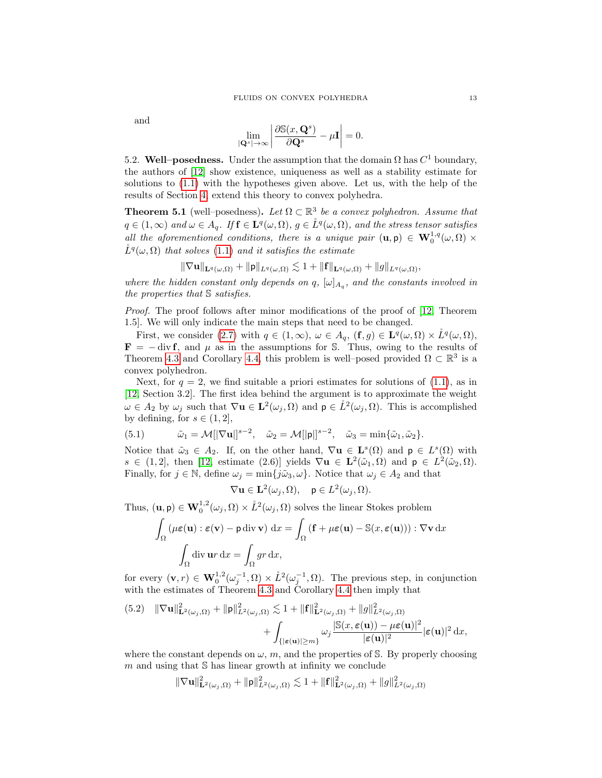and

$$
\lim_{|\mathbf{Q}^s|\to\infty}\left|\frac{\partial \mathbb{S}(x,\mathbf{Q}^s)}{\partial \mathbf{Q}^s}-\mu\mathbf{I}\right|=0.
$$

5.2. Well–posedness. Under the assumption that the domain  $\Omega$  has  $C^1$  boundary, the authors of [\[12\]](#page-23-1) show existence, uniqueness as well as a stability estimate for solutions to [\(1.1\)](#page-0-0) with the hypotheses given above. Let us, with the help of the results of Section [4,](#page-7-0) extend this theory to convex polyhedra.

<span id="page-12-0"></span>**Theorem 5.1** (well–posedness). Let  $\Omega \subset \mathbb{R}^3$  be a convex polyhedron. Assume that  $q \in (1,\infty)$  and  $\omega \in A_q$ . If  $\mathbf{f} \in \mathbf{L}^q(\omega,\Omega)$ ,  $g \in \mathring{L}^q(\omega,\Omega)$ , and the stress tensor satisfies all the aforementioned conditions, there is a unique pair  $(\mathbf{u}, \mathbf{p}) \in \mathbf{W}_0^{1,q}(\omega, \Omega)$  ×  $\mathring{L}^q(\omega,\Omega)$  that solves [\(1.1\)](#page-0-0) and it satisfies the estimate

$$
\|\nabla \mathbf{u}\|_{\mathbf{L}^{q}(\omega,\Omega)} + \|\mathbf{p}\|_{L^{q}(\omega,\Omega)} \lesssim 1 + \|\mathbf{f}\|_{\mathbf{L}^{q}(\omega,\Omega)} + \|g\|_{L^{q}(\omega,\Omega)},
$$

where the hidden constant only depends on q,  $[\omega]_{A_q}$ , and the constants involved in the properties that S satisfies.

Proof. The proof follows after minor modifications of the proof of [\[12,](#page-23-1) Theorem 1.5]. We will only indicate the main steps that need to be changed.

First, we consider [\(2.7\)](#page-3-1) with  $q \in (1,\infty)$ ,  $\omega \in A_q$ ,  $(\mathbf{f},g) \in \mathbf{L}^q(\omega,\Omega) \times \mathring{L}^q(\omega,\Omega)$ ,  $\mathbf{F} = -\text{div }\mathbf{f}$ , and  $\mu$  as in the assumptions for S. Thus, owing to the results of Theorem [4.3](#page-10-0) and Corollary [4.4,](#page-10-1) this problem is well-posed provided  $\Omega \subset \mathbb{R}^3$  is a convex polyhedron.

Next, for  $q = 2$ , we find suitable a priori estimates for solutions of  $(1.1)$ , as in [\[12,](#page-23-1) Section 3.2]. The first idea behind the argument is to approximate the weight  $\omega \in A_2$  by  $\omega_j$  such that  $\nabla$ **u**  $\in$   $\mathbf{L}^2(\omega_j, \Omega)$  and  $\mathbf{p} \in \mathring{L}^2(\omega_j, \Omega)$ . This is accomplished by defining, for  $s \in (1, 2]$ ,

<span id="page-12-2"></span>(5.1) 
$$
\tilde{\omega}_1 = \mathcal{M}[\nabla \mathbf{u}]\nvert^{s-2}, \quad \tilde{\omega}_2 = \mathcal{M}[\nvert \mathbf{p} \rvert]\nvert^{s-2}, \quad \tilde{\omega}_3 = \min{\{\tilde{\omega}_1, \tilde{\omega}_2\}}.
$$

Notice that  $\tilde{\omega}_3 \in A_2$ . If, on the other hand,  $\nabla \mathbf{u} \in \mathbf{L}^s(\Omega)$  and  $\mathbf{p} \in L^s(\Omega)$  with  $s \in (1,2],$  then [\[12,](#page-23-1) estimate (2.6)] yields  $\nabla u \in \mathbf{L}^2(\tilde{\omega}_1,\Omega)$  and  $p \in L^2(\tilde{\omega}_2,\Omega)$ . Finally, for  $j \in \mathbb{N}$ , define  $\omega_j = \min\{j\tilde{\omega}_3, \omega\}$ . Notice that  $\omega_j \in A_2$  and that

$$
\nabla \mathbf{u} \in \mathbf{L}^2(\omega_j, \Omega), \quad \mathbf{p} \in L^2(\omega_j, \Omega).
$$

Thus,  $(\mathbf{u}, \mathbf{p}) \in \mathbf{W}_0^{1,2}(\omega_j, \Omega) \times \mathring{L}^2(\omega_j, \Omega)$  solves the linear Stokes problem

$$
\int_{\Omega} (\mu \varepsilon(\mathbf{u}) : \varepsilon(\mathbf{v}) - \mathbf{p} \, \text{div} \, \mathbf{v}) \, \text{d}x = \int_{\Omega} (\mathbf{f} + \mu \varepsilon(\mathbf{u}) - \mathbb{S}(x, \varepsilon(\mathbf{u}))) : \nabla \mathbf{v} \, \text{d}x
$$
\n
$$
\int_{\Omega} \text{div} \, \mathbf{u} \, \text{div} \, \text{d}x = \int_{\Omega} gr \, \text{d}x,
$$

for every  $(\mathbf{v},r) \in \mathbf{W}_0^{1,2}(\omega_j^{-1},\Omega) \times L^2(\omega_j^{-1},\Omega)$ . The previous step, in conjunction with the estimates of Theorem [4.3](#page-10-0) and Corollary [4.4](#page-10-1) then imply that

<span id="page-12-1"></span>(5.2) 
$$
\|\nabla \mathbf{u}\|_{\mathbf{L}^2(\omega_j,\Omega)}^2 + \|\mathbf{p}\|_{L^2(\omega_j,\Omega)}^2 \lesssim 1 + \|\mathbf{f}\|_{\mathbf{L}^2(\omega_j,\Omega)}^2 + \|g\|_{L^2(\omega_j,\Omega)}^2 + \int_{\{|\boldsymbol{\varepsilon}(\mathbf{u})| \ge m\}} \omega_j \frac{|\mathbb{S}(x,\boldsymbol{\varepsilon}(\mathbf{u})) - \mu \boldsymbol{\varepsilon}(\mathbf{u})|^2}{|\boldsymbol{\varepsilon}(\mathbf{u})|^2} |\boldsymbol{\varepsilon}(\mathbf{u})|^2 \, \mathrm{d}x,
$$

where the constant depends on  $\omega$ , m, and the properties of S. By properly choosing  $m$  and using that  $S$  has linear growth at infinity we conclude

$$
\|\nabla\mathbf{u}\|^2_{\mathbf{L}^2(\omega_j,\Omega)}+\|\mathbf{p}\|^2_{L^2(\omega_j,\Omega)}\lesssim 1+\|\mathbf{f}\|^2_{\mathbf{L}^2(\omega_j,\Omega)}+\|g\|^2_{L^2(\omega_j,\Omega)}
$$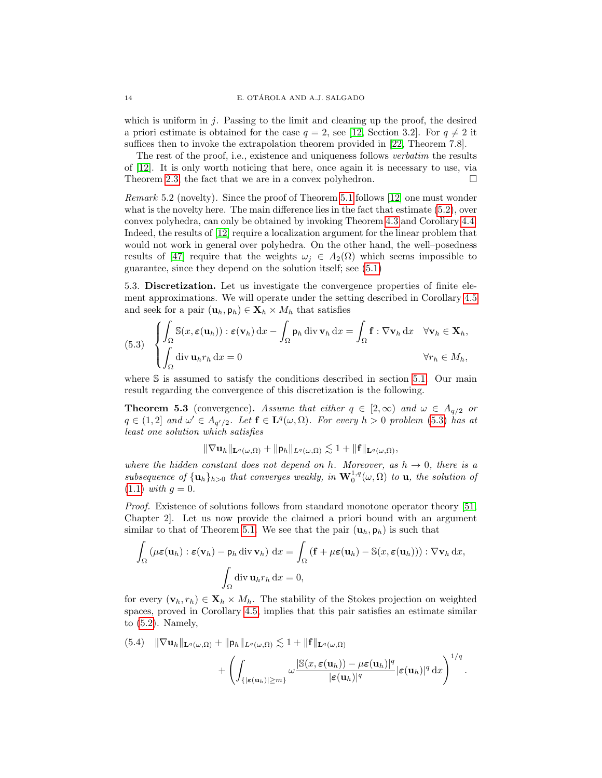which is uniform in  $j$ . Passing to the limit and cleaning up the proof, the desired a priori estimate is obtained for the case  $q = 2$ , see [\[12,](#page-23-1) Section 3.2]. For  $q \neq 2$  it suffices then to invoke the extrapolation theorem provided in [\[22,](#page-23-7) Theorem 7.8].

The rest of the proof, i.e., existence and uniqueness follows *verbatim* the results of [\[12\]](#page-23-1). It is only worth noticing that here, once again it is necessary to use, via Theorem [2.3,](#page-3-3) the fact that we are in a convex polyhedron.  $\Box$ 

Remark 5.2 (novelty). Since the proof of Theorem [5.1](#page-12-0) follows [\[12\]](#page-23-1) one must wonder what is the novelty here. The main difference lies in the fact that estimate  $(5.2)$ , over convex polyhedra, can only be obtained by invoking Theorem [4.3](#page-10-0) and Corollary [4.4.](#page-10-1) Indeed, the results of [\[12\]](#page-23-1) require a localization argument for the linear problem that would not work in general over polyhedra. On the other hand, the well–posedness results of [\[47\]](#page-24-9) require that the weights  $\omega_i \in A_2(\Omega)$  which seems impossible to guarantee, since they depend on the solution itself; see [\(5.1\)](#page-12-2)

5.3. Discretization. Let us investigate the convergence properties of finite element approximations. We will operate under the setting described in Corollary [4.5](#page-11-1) and seek for a pair  $(\mathbf{u}_h, \mathbf{p}_h) \in \mathbf{X}_h \times M_h$  that satisfies

<span id="page-13-0"></span>(5.3) 
$$
\begin{cases} \int_{\Omega} \mathbb{S}(x, \varepsilon(\mathbf{u}_h)) : \varepsilon(\mathbf{v}_h) dx - \int_{\Omega} \mathsf{p}_h \operatorname{div} \mathbf{v}_h dx = \int_{\Omega} \mathbf{f} : \nabla \mathbf{v}_h dx \quad \forall \mathbf{v}_h \in \mathbf{X}_h, \\ \int_{\Omega} \operatorname{div} \mathbf{u}_h r_h dx = 0 \qquad \qquad \forall r_h \in M_h, \end{cases}
$$

where S is assumed to satisfy the conditions described in section [5.1.](#page-11-2) Our main result regarding the convergence of this discretization is the following.

**Theorem 5.3** (convergence). Assume that either  $q \in [2,\infty)$  and  $\omega \in A_{q/2}$  or  $q \in (1,2]$  and  $\omega' \in A_{q'/2}$ . Let  $\mathbf{f} \in \mathbf{L}^q(\omega,\Omega)$ . For every  $h > 0$  problem [\(5.3\)](#page-13-0) has at least one solution which satisfies

 $\|\nabla \mathbf{u}_h\|_{\mathbf{L}^q(\omega,\Omega)} + \|p_h\|_{L^q(\omega,\Omega)} \lesssim 1 + \| \mathbf{f}\|_{\mathbf{L}^q(\omega,\Omega)},$ 

where the hidden constant does not depend on h. Moreover, as  $h \to 0$ , there is a subsequence of  $\{\mathbf u_h\}_{h>0}$  that converges weakly, in  $\mathbf W_0^{1,q}(\omega,\Omega)$  to  $\mathbf u$ , the solution of  $(1.1)$  with  $q = 0$ .

Proof. Existence of solutions follows from standard monotone operator theory [\[51,](#page-24-15) Chapter 2]. Let us now provide the claimed a priori bound with an argument similar to that of Theorem [5.1.](#page-12-0) We see that the pair  $(\mathbf{u}_h, \mathbf{p}_h)$  is such that

$$
\int_{\Omega} (\mu \varepsilon(\mathbf{u}_h) : \varepsilon(\mathbf{v}_h) - \mathsf{p}_h \operatorname{div} \mathbf{v}_h) dx = \int_{\Omega} (\mathbf{f} + \mu \varepsilon(\mathbf{u}_h) - \mathbb{S}(x, \varepsilon(\mathbf{u}_h))) : \nabla \mathbf{v}_h dx,
$$

$$
\int_{\Omega} \operatorname{div} \mathbf{u}_h r_h dx = 0,
$$

for every  $(\mathbf{v}_h, r_h) \in \mathbf{X}_h \times M_h$ . The stability of the Stokes projection on weighted spaces, proved in Corollary [4.5,](#page-11-1) implies that this pair satisfies an estimate similar to [\(5.2\)](#page-12-1). Namely,

(5.4) 
$$
\|\nabla \mathbf{u}_h\|_{\mathbf{L}^q(\omega,\Omega)} + \|\mathbf{p}_h\|_{L^q(\omega,\Omega)} \lesssim 1 + \|\mathbf{f}\|_{\mathbf{L}^q(\omega,\Omega)} + \left(\int_{\{|\boldsymbol{\varepsilon}(\mathbf{u}_h)| \ge m\}} \omega \frac{|\mathbb{S}(x,\boldsymbol{\varepsilon}(\mathbf{u}_h)) - \mu \boldsymbol{\varepsilon}(\mathbf{u}_h)|^q}{|\boldsymbol{\varepsilon}(\mathbf{u}_h)|^q} |\boldsymbol{\varepsilon}(\mathbf{u}_h)|^q \, dx\right)^{1/q}.
$$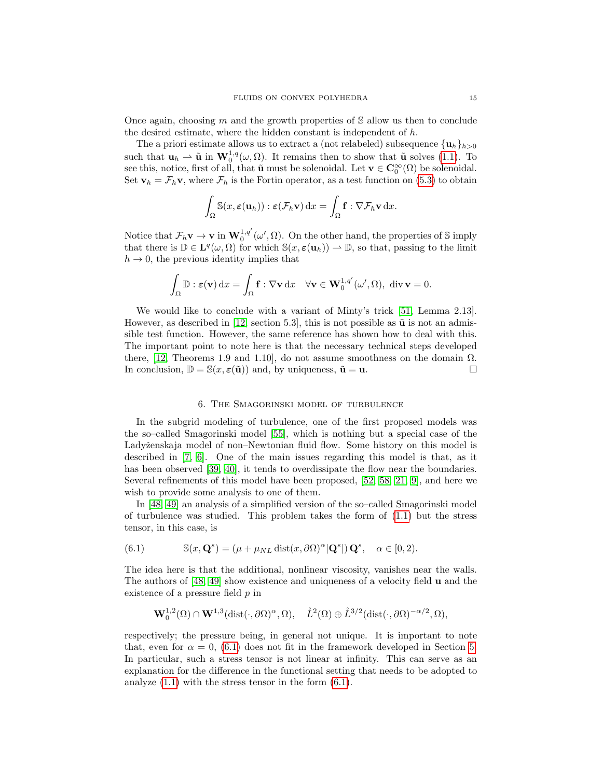Once again, choosing m and the growth properties of  $S$  allow us then to conclude the desired estimate, where the hidden constant is independent of h.

The a priori estimate allows us to extract a (not relabeled) subsequence  $\{u_h\}_{h>0}$ such that  $\mathbf{u}_h \rightharpoonup \tilde{\mathbf{u}}$  in  $\mathbf{W}_0^{1,q}(\omega,\Omega)$ . It remains then to show that  $\tilde{\mathbf{u}}$  solves [\(1.1\)](#page-0-0). To see this, notice, first of all, that  $\tilde{\mathbf{u}}$  must be solenoidal. Let  $\mathbf{v} \in \mathbf{C}^{\infty}_0(\Omega)$  be solenoidal. Set  $\mathbf{v}_h = \mathcal{F}_h \mathbf{v}$ , where  $\mathcal{F}_h$  is the Fortin operator, as a test function on [\(5.3\)](#page-13-0) to obtain

$$
\int_{\Omega} \mathbb{S}(x,\boldsymbol{\varepsilon}(\mathbf{u}_h)) : \boldsymbol{\varepsilon}(\mathcal{F}_h \mathbf{v}) \, dx = \int_{\Omega} \mathbf{f} : \nabla \mathcal{F}_h \mathbf{v} \, dx.
$$

Notice that  $\mathcal{F}_h \mathbf{v} \to \mathbf{v}$  in  $\mathbf{W}_0^{1,q'}(\omega', \Omega)$ . On the other hand, the properties of S imply that there is  $\mathbb{D} \in \mathbf{L}^q(\omega,\Omega)$  for which  $\mathbb{S}(x,\boldsymbol{\varepsilon}(\mathbf{u}_h)) \to \mathbb{D}$ , so that, passing to the limit  $h \to 0$ , the previous identity implies that

$$
\int_{\Omega} \mathbb{D} : \boldsymbol{\varepsilon}(\mathbf{v}) \, \mathrm{d}x = \int_{\Omega} \mathbf{f} : \nabla \mathbf{v} \, \mathrm{d}x \quad \forall \mathbf{v} \in \mathbf{W}_0^{1,q'}(\omega', \Omega), \text{ div } \mathbf{v} = 0.
$$

We would like to conclude with a variant of Minty's trick [\[51,](#page-24-15) Lemma 2.13]. However, as described in [\[12,](#page-23-1) section 5.3], this is not possible as  $\tilde{u}$  is not an admissible test function. However, the same reference has shown how to deal with this. The important point to note here is that the necessary technical steps developed there, [\[12,](#page-23-1) Theorems 1.9 and 1.10], do not assume smoothness on the domain  $\Omega$ . In conclusion,  $\mathbb{D} = \mathbb{S}(x, \varepsilon(\tilde{\mathbf{u}}))$  and, by uniqueness,  $\tilde{\mathbf{u}} = \mathbf{u}$ .

### 6. The Smagorinski model of turbulence

<span id="page-14-0"></span>In the subgrid modeling of turbulence, one of the first proposed models was the so–called Smagorinski model [\[55\]](#page-24-16), which is nothing but a special case of the Ladyženskaja model of non–Newtonian fluid flow. Some history on this model is described in [\[7,](#page-22-1) [6\]](#page-22-7). One of the main issues regarding this model is that, as it has been observed [\[39,](#page-24-7) [40\]](#page-24-17), it tends to overdissipate the flow near the boundaries. Several refinements of this model have been proposed, [\[52,](#page-24-18) [58,](#page-24-19) [21,](#page-23-18) [9\]](#page-22-8), and here we wish to provide some analysis to one of them.

In [\[48,](#page-24-6) [49\]](#page-24-20) an analysis of a simplified version of the so–called Smagorinski model of turbulence was studied. This problem takes the form of [\(1.1\)](#page-0-0) but the stress tensor, in this case, is

<span id="page-14-1"></span>(6.1) 
$$
\mathbb{S}(x, \mathbf{Q}^s) = (\mu + \mu_{NL} \operatorname{dist}(x, \partial \Omega)^{\alpha} | \mathbf{Q}^s |) \mathbf{Q}^s, \quad \alpha \in [0, 2).
$$

The idea here is that the additional, nonlinear viscosity, vanishes near the walls. The authors of [\[48,](#page-24-6) [49\]](#page-24-20) show existence and uniqueness of a velocity field u and the existence of a pressure field  $p$  in

$$
\mathbf{W}^{1,2}_0(\Omega)\cap \mathbf{W}^{1,3}(\text{dist}(\cdot,\partial \Omega)^\alpha,\Omega),\quad \mathring{L}^2(\Omega)\oplus \mathring{L}^{3/2}(\text{dist}(\cdot,\partial \Omega)^{-\alpha/2},\Omega),
$$

respectively; the pressure being, in general not unique. It is important to note that, even for  $\alpha = 0$ , [\(6.1\)](#page-14-1) does not fit in the framework developed in Section [5.](#page-11-0) In particular, such a stress tensor is not linear at infinity. This can serve as an explanation for the difference in the functional setting that needs to be adopted to analyze [\(1.1\)](#page-0-0) with the stress tensor in the form [\(6.1\)](#page-14-1).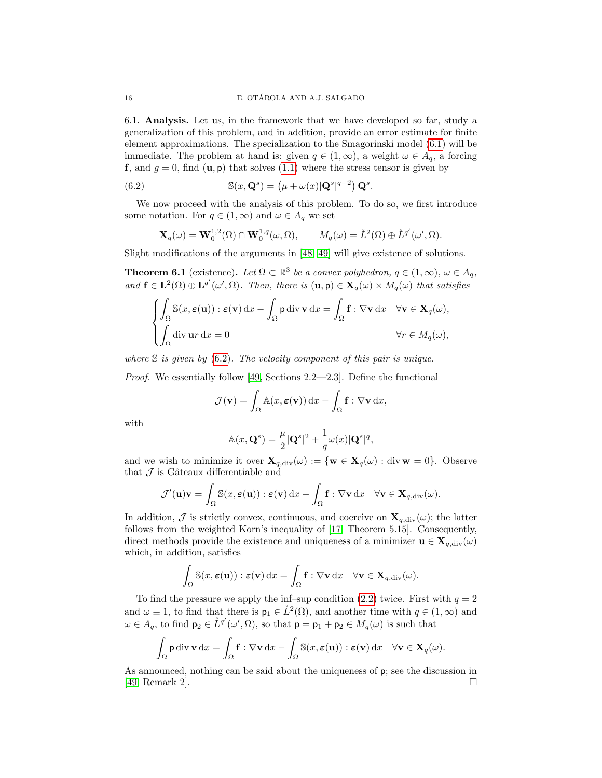6.1. Analysis. Let us, in the framework that we have developed so far, study a generalization of this problem, and in addition, provide an error estimate for finite element approximations. The specialization to the Smagorinski model [\(6.1\)](#page-14-1) will be immediate. The problem at hand is: given  $q \in (1,\infty)$ , a weight  $\omega \in A_q$ , a forcing f, and  $g = 0$ , find  $(\mathbf{u}, \mathbf{p})$  that solves  $(1.1)$  where the stress tensor is given by

(6.2) 
$$
\mathbb{S}(x, \mathbf{Q}^s) = (\mu + \omega(x)|\mathbf{Q}^s|^{q-2}) \mathbf{Q}^s.
$$

We now proceed with the analysis of this problem. To do so, we first introduce some notation. For  $q \in (1,\infty)$  and  $\omega \in A_q$  we set

<span id="page-15-0"></span>
$$
\mathbf{X}_q(\omega) = \mathbf{W}_0^{1,2}(\Omega) \cap \mathbf{W}_0^{1,q}(\omega,\Omega), \qquad M_q(\omega) = \mathring{L}^2(\Omega) \oplus \mathring{L}^{q'}(\omega',\Omega).
$$

Slight modifications of the arguments in [\[48,](#page-24-6) [49\]](#page-24-20) will give existence of solutions.

<span id="page-15-1"></span>**Theorem 6.1** (existence). Let  $\Omega \subset \mathbb{R}^3$  be a convex polyhedron,  $q \in (1,\infty)$ ,  $\omega \in A_q$ , and  $\mathbf{f} \in \mathbf{L}^2(\Omega) \oplus \mathbf{L}^{q'}(\omega', \Omega)$ . Then, there is  $(\mathbf{u}, \mathbf{p}) \in \mathbf{X}_q(\omega) \times M_q(\omega)$  that satisfies

$$
\begin{cases}\n\int_{\Omega} \mathbb{S}(x, \varepsilon(\mathbf{u})): \varepsilon(\mathbf{v}) \, dx - \int_{\Omega} \mathbf{p} \, \text{div} \, \mathbf{v} \, dx = \int_{\Omega} \mathbf{f}: \nabla \mathbf{v} \, dx & \forall \mathbf{v} \in \mathbf{X}_q(\omega), \\
\int_{\Omega} \text{div} \, \mathbf{u}r \, dx = 0 & \forall r \in M_q(\omega),\n\end{cases}
$$

where  $\mathbb S$  is given by [\(6.2\)](#page-15-0). The velocity component of this pair is unique.

Proof. We essentially follow [\[49,](#page-24-20) Sections 2.2—2.3]. Define the functional

$$
\mathcal{J}(\mathbf{v}) = \int_{\Omega} \mathbb{A}(x, \boldsymbol{\varepsilon}(\mathbf{v})) \, dx - \int_{\Omega} \mathbf{f} : \nabla \mathbf{v} \, dx,
$$

with

$$
\mathbb{A}(x,\mathbf{Q}^s) = \frac{\mu}{2} |\mathbf{Q}^s|^2 + \frac{1}{q}\omega(x) |\mathbf{Q}^s|^q,
$$

and we wish to minimize it over  $\mathbf{X}_{q,\text{div}}(\omega) := \{ \mathbf{w} \in \mathbf{X}_q(\omega) : \text{div} \mathbf{w} = 0 \}.$  Observe that  $\mathcal J$  is Gâteaux differentiable and

$$
\mathcal{J}'(\mathbf{u})\mathbf{v} = \int_{\Omega} \mathbb{S}(x, \varepsilon(\mathbf{u})) : \varepsilon(\mathbf{v}) \, dx - \int_{\Omega} \mathbf{f} : \nabla \mathbf{v} \, dx \quad \forall \mathbf{v} \in \mathbf{X}_{q, \text{div}}(\omega).
$$

In addition,  $\mathcal J$  is strictly convex, continuous, and coercive on  $\mathbf X_{q,\text{div}}(\omega)$ ; the latter follows from the weighted Korn's inequality of [\[17,](#page-23-19) Theorem 5.15]. Consequently, direct methods provide the existence and uniqueness of a minimizer  $\mathbf{u} \in \mathbf{X}_{q,div}(\omega)$ which, in addition, satisfies

$$
\int_{\Omega} \mathbb{S}(x, \varepsilon(\mathbf{u})) : \varepsilon(\mathbf{v}) \, dx = \int_{\Omega} \mathbf{f} : \nabla \mathbf{v} \, dx \quad \forall \mathbf{v} \in \mathbf{X}_{q, \text{div}}(\omega).
$$

To find the pressure we apply the inf–sup condition  $(2.2)$  twice. First with  $q = 2$ and  $\omega \equiv 1$ , to find that there is  $p_1 \in \overset{\circ}{L}^2(\Omega)$ , and another time with  $q \in (1,\infty)$  and  $\omega \in A_q$ , to find  $p_2 \in \overset{\circ}{L}^{q'}(\omega', \Omega)$ , so that  $p = p_1 + p_2 \in M_q(\omega)$  is such that

$$
\int_{\Omega} \mathsf{p} \, \mathrm{div} \, \mathbf{v} \, \mathrm{d}x = \int_{\Omega} \mathbf{f} : \nabla \mathbf{v} \, \mathrm{d}x - \int_{\Omega} \mathbb{S}(x, \boldsymbol{\varepsilon}(\mathbf{u})) : \boldsymbol{\varepsilon}(\mathbf{v}) \, \mathrm{d}x \quad \forall \mathbf{v} \in \mathbf{X}_q(\omega).
$$

As announced, nothing can be said about the uniqueness of p; see the discussion in [\[49,](#page-24-20) Remark 2].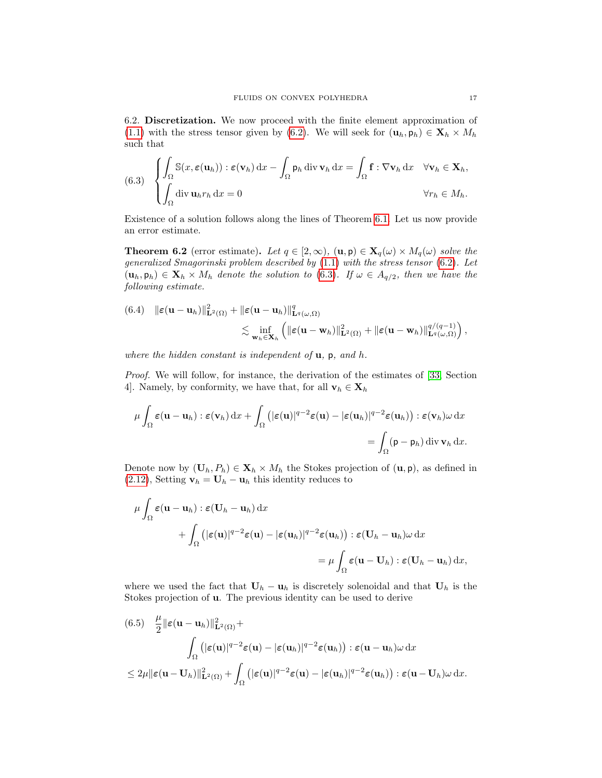6.2. Discretization. We now proceed with the finite element approximation of [\(1.1\)](#page-0-0) with the stress tensor given by [\(6.2\)](#page-15-0). We will seek for  $(\mathbf{u}_h, \mathbf{p}_h) \in \mathbf{X}_h \times M_h$ such that

<span id="page-16-0"></span>(6.3) 
$$
\begin{cases} \int_{\Omega} \mathbb{S}(x, \varepsilon(\mathbf{u}_h)) : \varepsilon(\mathbf{v}_h) dx - \int_{\Omega} \mathsf{p}_h \operatorname{div} \mathbf{v}_h dx = \int_{\Omega} \mathbf{f} : \nabla \mathbf{v}_h dx \quad \forall \mathbf{v}_h \in \mathbf{X}_h, \\ \int_{\Omega} \operatorname{div} \mathbf{u}_h r_h dx = 0 \qquad \qquad \forall r_h \in M_h. \end{cases}
$$

Existence of a solution follows along the lines of Theorem [6.1.](#page-15-1) Let us now provide an error estimate.

<span id="page-16-1"></span>**Theorem 6.2** (error estimate). Let  $q \in [2,\infty)$ ,  $(\mathbf{u}, \mathbf{p}) \in \mathbf{X}_q(\omega) \times M_q(\omega)$  solve the generalized Smagorinski problem described by [\(1.1\)](#page-0-0) with the stress tensor [\(6.2\)](#page-15-0). Let  $(\mathbf{u}_h, \mathbf{p}_h) \in \mathbf{X}_h \times M_h$  denote the solution to [\(6.3\)](#page-16-0). If  $\omega \in A_{q/2}$ , then we have the following estimate.

(6.4) 
$$
\|\varepsilon(\mathbf{u}-\mathbf{u}_h)\|_{\mathbf{L}^2(\Omega)}^2 + \|\varepsilon(\mathbf{u}-\mathbf{u}_h)\|_{\mathbf{L}^q(\omega,\Omega)}^q \n\lesssim \inf_{\mathbf{w}_h \in \mathbf{X}_h} \left( \|\varepsilon(\mathbf{u}-\mathbf{w}_h)\|_{\mathbf{L}^2(\Omega)}^2 + \|\varepsilon(\mathbf{u}-\mathbf{w}_h)\|_{\mathbf{L}^q(\omega,\Omega)}^{q/(q-1)} \right),
$$

where the hidden constant is independent of  $\mathbf{u}$ ,  $\mathbf{p}$ , and  $h$ .

Proof. We will follow, for instance, the derivation of the estimates of [\[33,](#page-23-20) Section 4]. Namely, by conformity, we have that, for all  $\mathbf{v}_h \in \mathbf{X}_h$ 

$$
\mu \int_{\Omega} \varepsilon(\mathbf{u} - \mathbf{u}_h) : \varepsilon(\mathbf{v}_h) dx + \int_{\Omega} (|\varepsilon(\mathbf{u})|^{q-2} \varepsilon(\mathbf{u}) - |\varepsilon(\mathbf{u}_h)|^{q-2} \varepsilon(\mathbf{u}_h)) : \varepsilon(\mathbf{v}_h) \omega dx
$$
  
= 
$$
\int_{\Omega} (\mathbf{p} - \mathbf{p}_h) \operatorname{div} \mathbf{v}_h dx.
$$

Denote now by  $(\mathbf{U}_h, P_h) \in \mathbf{X}_h \times M_h$  the Stokes projection of  $(\mathbf{u}, \mathbf{p})$ , as defined in [\(2.12\)](#page-5-3), Setting  $\mathbf{v}_h = \mathbf{U}_h - \mathbf{u}_h$  this identity reduces to

$$
\mu \int_{\Omega} \varepsilon (\mathbf{u} - \mathbf{u}_h) : \varepsilon (\mathbf{U}_h - \mathbf{u}_h) \, dx \n+ \int_{\Omega} (|\varepsilon(\mathbf{u})|^{q-2} \varepsilon(\mathbf{u}) - |\varepsilon(\mathbf{u}_h)|^{q-2} \varepsilon(\mathbf{u}_h)) : \varepsilon (\mathbf{U}_h - \mathbf{u}_h) \omega \, dx \n= \mu \int_{\Omega} \varepsilon (\mathbf{u} - \mathbf{U}_h) : \varepsilon (\mathbf{U}_h - \mathbf{u}_h) \, dx,
$$

where we used the fact that  $U_h - u_h$  is discretely solenoidal and that  $U_h$  is the Stokes projection of u. The previous identity can be used to derive

<span id="page-16-2"></span>(6.5) 
$$
\frac{\mu}{2} ||\boldsymbol{\varepsilon}(\mathbf{u} - \mathbf{u}_h)||_{\mathbf{L}^2(\Omega)}^2 + \int_{\Omega} (|\boldsymbol{\varepsilon}(\mathbf{u})|^{q-2} \boldsymbol{\varepsilon}(\mathbf{u}) - |\boldsymbol{\varepsilon}(\mathbf{u}_h)|^{q-2} \boldsymbol{\varepsilon}(\mathbf{u}_h)) : \boldsymbol{\varepsilon}(\mathbf{u} - \mathbf{u}_h) \omega \, dx
$$
  

$$
\leq 2\mu ||\boldsymbol{\varepsilon}(\mathbf{u} - \mathbf{U}_h)||_{\mathbf{L}^2(\Omega)}^2 + \int_{\Omega} (|\boldsymbol{\varepsilon}(\mathbf{u})|^{q-2} \boldsymbol{\varepsilon}(\mathbf{u}) - |\boldsymbol{\varepsilon}(\mathbf{u}_h)|^{q-2} \boldsymbol{\varepsilon}(\mathbf{u}_h)) : \boldsymbol{\varepsilon}(\mathbf{u} - \mathbf{U}_h) \omega \, dx.
$$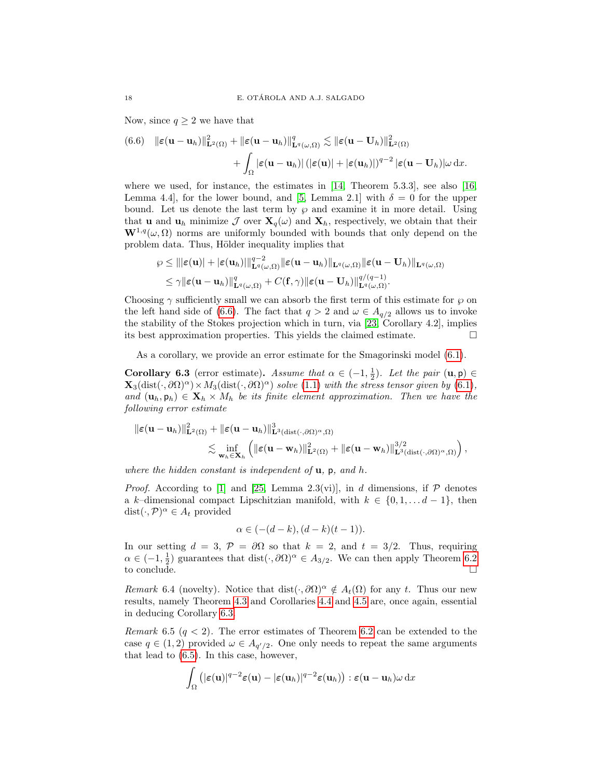Now, since  $q \geq 2$  we have that

<span id="page-17-0"></span>(6.6) 
$$
\|\boldsymbol{\varepsilon}(\mathbf{u}-\mathbf{u}_h)\|_{\mathbf{L}^2(\Omega)}^2 + \|\boldsymbol{\varepsilon}(\mathbf{u}-\mathbf{u}_h)\|_{\mathbf{L}^q(\omega,\Omega)}^q \lesssim \|\boldsymbol{\varepsilon}(\mathbf{u}-\mathbf{U}_h)\|_{\mathbf{L}^2(\Omega)}^2 + \int_{\Omega} |\boldsymbol{\varepsilon}(\mathbf{u}-\mathbf{u}_h)| \left(|\boldsymbol{\varepsilon}(\mathbf{u})| + |\boldsymbol{\varepsilon}(\mathbf{u}_h)|\right)^{q-2} |\boldsymbol{\varepsilon}(\mathbf{u}-\mathbf{U}_h)| \omega \, dx.
$$

where we used, for instance, the estimates in  $[14,$  Theorem 5.3.3], see also [\[16,](#page-23-21) Lemma 4.4], for the lower bound, and [\[5,](#page-22-9) Lemma 2.1] with  $\delta = 0$  for the upper bound. Let us denote the last term by  $\wp$  and examine it in more detail. Using that **u** and  $\mathbf{u}_h$  minimize  $\mathcal{J}$  over  $\mathbf{X}_q(\omega)$  and  $\mathbf{X}_h$ , respectively, we obtain that their  $\mathbf{W}^{1,q}(\omega,\Omega)$  norms are uniformly bounded with bounds that only depend on the problem data. Thus, Hölder inequality implies that

$$
\varrho \leq |||\varepsilon(\mathbf{u})| + |\varepsilon(\mathbf{u}_h)||_{\mathbf{L}^q(\omega,\Omega)}^{q-2} \|\varepsilon(\mathbf{u}-\mathbf{u}_h)\|_{\mathbf{L}^q(\omega,\Omega)} \|\varepsilon(\mathbf{u}-\mathbf{U}_h)\|_{\mathbf{L}^q(\omega,\Omega)} \leq \gamma \|\varepsilon(\mathbf{u}-\mathbf{u}_h)\|_{\mathbf{L}^q(\omega,\Omega)}^q + C(\mathbf{f},\gamma)\|\varepsilon(\mathbf{u}-\mathbf{U}_h)\|_{\mathbf{L}^q(\omega,\Omega)}^{q/(q-1)}.
$$

Choosing  $\gamma$  sufficiently small we can absorb the first term of this estimate for  $\wp$  on the left hand side of [\(6.6\)](#page-17-0). The fact that  $q > 2$  and  $\omega \in A_{q/2}$  allows us to invoke the stability of the Stokes projection which in turn, via [\[23,](#page-23-6) Corollary 4.2], implies its best approximation properties. This yields the claimed estimate.

As a corollary, we provide an error estimate for the Smagorinski model [\(6.1\)](#page-14-1).

<span id="page-17-1"></span>**Corollary 6.3** (error estimate). Assume that  $\alpha \in (-1, \frac{1}{2})$ . Let the pair  $(\mathbf{u}, \mathbf{p}) \in$  $\mathbf{X}_3(\text{dist}(\cdot,\partial\Omega)^\alpha)\times M_3(\text{dist}(\cdot,\partial\Omega)^\alpha)$  solve [\(1.1\)](#page-0-0) with the stress tensor given by [\(6.1\)](#page-14-1), and  $(\mathbf{u}_h, \mathbf{p}_h) \in \mathbf{X}_h \times M_h$  be its finite element approximation. Then we have the following error estimate

$$
\|\varepsilon(\mathbf{u}-\mathbf{u}_h)\|^2_{\mathbf{L}^2(\Omega)} + \|\varepsilon(\mathbf{u}-\mathbf{u}_h)\|^3_{\mathbf{L}^3(\text{dist}(\cdot,\partial\Omega)^\alpha,\Omega)} \n\lesssim \inf_{\mathbf{w}_h\in\mathbf{X}_h} \left( \|\varepsilon(\mathbf{u}-\mathbf{w}_h)\|^2_{\mathbf{L}^2(\Omega)} + \|\varepsilon(\mathbf{u}-\mathbf{w}_h)\|^{3/2}_{\mathbf{L}^3(\text{dist}(\cdot,\partial\Omega)^\alpha,\Omega)} \right),
$$

where the hidden constant is independent of  $\mathbf{u}$ ,  $\mathbf{p}$ , and  $h$ .

*Proof.* According to [\[1\]](#page-22-10) and [\[25,](#page-23-9) Lemma 2.3(vi)], in d dimensions, if  $P$  denotes a k–dimensional compact Lipschitzian manifold, with  $k \in \{0, 1, \ldots d-1\}$ , then dist $(\cdot, \mathcal{P})^{\alpha} \in A_t$  provided

$$
\alpha \in (-(d-k),(d-k)(t-1)).
$$

In our setting  $d = 3$ ,  $\mathcal{P} = \partial\Omega$  so that  $k = 2$ , and  $t = 3/2$ . Thus, requiring  $\alpha \in (-1, \frac{1}{2})$  guarantees that  $dist(\cdot, \partial \Omega)^{\alpha} \in A_{3/2}$ . We can then apply Theorem [6.2](#page-16-1) to conclude.

Remark 6.4 (novelty). Notice that dist $(\cdot, \partial\Omega)^\alpha \notin A_t(\Omega)$  for any t. Thus our new results, namely Theorem [4.3](#page-10-0) and Corollaries [4.4](#page-10-1) and [4.5](#page-11-1) are, once again, essential in deducing Corollary [6.3.](#page-17-1)

Remark 6.5  $(q < 2)$ . The error estimates of Theorem [6.2](#page-16-1) can be extended to the case  $q \in (1,2)$  provided  $\omega \in A_{q'/2}$ . One only needs to repeat the same arguments that lead to [\(6.5\)](#page-16-2). In this case, however,

$$
\int_{\Omega} \left( |\varepsilon(\mathbf{u})|^{q-2} \varepsilon(\mathbf{u}) - |\varepsilon(\mathbf{u}_h)|^{q-2} \varepsilon(\mathbf{u}_h) \right) : \varepsilon(\mathbf{u}-\mathbf{u}_h) \omega \, dx
$$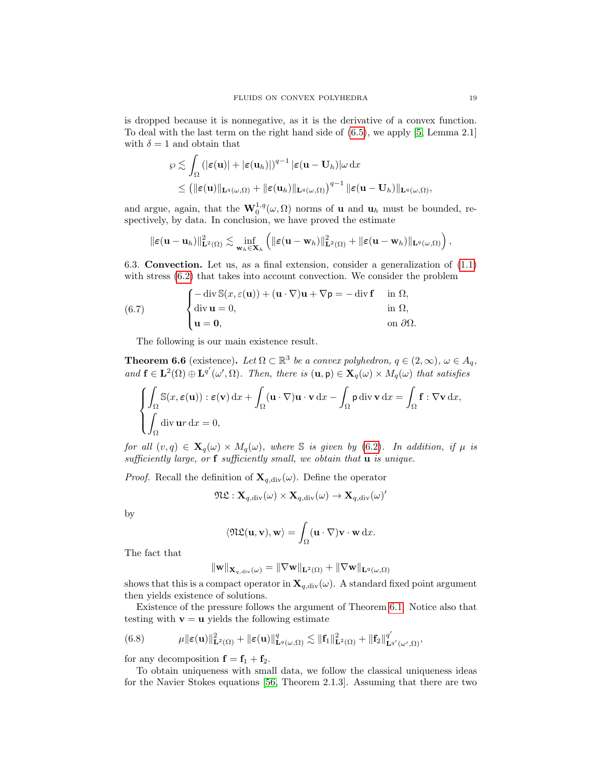is dropped because it is nonnegative, as it is the derivative of a convex function. To deal with the last term on the right hand side of [\(6.5\)](#page-16-2), we apply [\[5,](#page-22-9) Lemma 2.1] with  $\delta = 1$  and obtain that

$$
\varphi \lesssim \int_{\Omega} \left( |\varepsilon(\mathbf{u})| + |\varepsilon(\mathbf{u}_h)| \right)^{q-1} |\varepsilon(\mathbf{u} - \mathbf{U}_h)| \omega \, \mathrm{d}x
$$
  

$$
\leq \left( ||\varepsilon(\mathbf{u})||_{\mathbf{L}^q(\omega,\Omega)} + ||\varepsilon(\mathbf{u}_h)||_{\mathbf{L}^q(\omega,\Omega)} \right)^{q-1} ||\varepsilon(\mathbf{u} - \mathbf{U}_h)||_{\mathbf{L}^q(\omega,\Omega)},
$$

and argue, again, that the  $\mathbf{W}_0^{1,q}(\omega,\Omega)$  norms of **u** and  $\mathbf{u}_h$  must be bounded, respectively, by data. In conclusion, we have proved the estimate

$$
\|\boldsymbol{\varepsilon}(\mathbf{u}-\mathbf{u}_h)\|^2_{\mathbf{L}^2(\Omega)} \lesssim \inf_{\mathbf{w}_h \in \mathbf{X}_h} \left( \|\boldsymbol{\varepsilon}(\mathbf{u}-\mathbf{w}_h)\|^2_{\mathbf{L}^2(\Omega)} + \|\boldsymbol{\varepsilon}(\mathbf{u}-\mathbf{w}_h)\|_{\mathbf{L}^q(\omega,\Omega)} \right),
$$

6.3. Convection. Let us, as a final extension, consider a generalization of [\(1.1\)](#page-0-0) with stress  $(6.2)$  that takes into account convection. We consider the problem

(6.7) 
$$
\begin{cases}\n-\operatorname{div} \mathbb{S}(x, \varepsilon(\mathbf{u})) + (\mathbf{u} \cdot \nabla) \mathbf{u} + \nabla \mathbf{p} = -\operatorname{div} \mathbf{f} & \text{in } \Omega, \\
\operatorname{div} \mathbf{u} = 0, & \text{in } \Omega, \\
\mathbf{u} = \mathbf{0}, & \text{on } \partial \Omega.\n\end{cases}
$$

The following is our main existence result.

**Theorem 6.6** (existence). Let  $\Omega \subset \mathbb{R}^3$  be a convex polyhedron,  $q \in (2,\infty)$ ,  $\omega \in A_q$ , and  $\mathbf{f} \in \mathbf{L}^2(\Omega) \oplus \mathbf{L}^{q'}(\omega', \Omega)$ . Then, there is  $(\mathbf{u}, \mathbf{p}) \in \mathbf{X}_q(\omega) \times M_q(\omega)$  that satisfies

$$
\begin{cases}\n\int_{\Omega} \mathbb{S}(x, \varepsilon(\mathbf{u})) : \varepsilon(\mathbf{v}) \, dx + \int_{\Omega} (\mathbf{u} \cdot \nabla) \mathbf{u} \cdot \mathbf{v} \, dx - \int_{\Omega} \mathbf{p} \, \text{div} \, \mathbf{v} \, dx = \int_{\Omega} \mathbf{f} : \nabla \mathbf{v} \, dx, \\
\int_{\Omega} \text{div} \, \mathbf{u}r \, dx = 0,\n\end{cases}
$$

for all  $(v, q) \in \mathbf{X}_q(\omega) \times M_q(\omega)$ , where S is given by [\(6.2\)](#page-15-0). In addition, if  $\mu$  is sufficiently large, or  $f$  sufficiently small, we obtain that  $u$  is unique.

*Proof.* Recall the definition of  $\mathbf{X}_{q,\text{div}}(\omega)$ . Define the operator

$$
\mathfrak{NL}: \mathbf{X}_{q, \mathrm{div}}(\omega) \times \mathbf{X}_{q, \mathrm{div}}(\omega) \to \mathbf{X}_{q, \mathrm{div}}(\omega)'
$$

by

$$
\langle \mathfrak{NL}(\mathbf{u}, \mathbf{v}), \mathbf{w} \rangle = \int_{\Omega} (\mathbf{u} \cdot \nabla) \mathbf{v} \cdot \mathbf{w} \, \mathrm{d}x.
$$

The fact that

$$
\|\mathbf{w}\|_{\mathbf{X}_{q,\textup{div}}(\omega)} = \|\nabla \mathbf{w}\|_{\mathbf{L}^2(\Omega)} + \|\nabla \mathbf{w}\|_{\mathbf{L}^q(\omega,\Omega)}
$$

shows that this is a compact operator in  $\mathbf{X}_{q,\text{div}}(\omega)$ . A standard fixed point argument then yields existence of solutions.

Existence of the pressure follows the argument of Theorem [6.1.](#page-15-1) Notice also that testing with  $\mathbf{v} = \mathbf{u}$  yields the following estimate

<span id="page-18-0"></span>(6.8) 
$$
\mu \|\boldsymbol{\varepsilon}(\mathbf{u})\|_{\mathbf{L}^2(\Omega)}^2 + \|\boldsymbol{\varepsilon}(\mathbf{u})\|_{\mathbf{L}^q(\omega,\Omega)}^q \lesssim \|\mathbf{f}_1\|_{\mathbf{L}^2(\Omega)}^2 + \|\mathbf{f}_2\|_{\mathbf{L}^{q'}(\omega',\Omega)}^{q'},
$$

for any decomposition  $f = f_1 + f_2$ .

To obtain uniqueness with small data, we follow the classical uniqueness ideas for the Navier Stokes equations [\[56,](#page-24-21) Theorem 2.1.3]. Assuming that there are two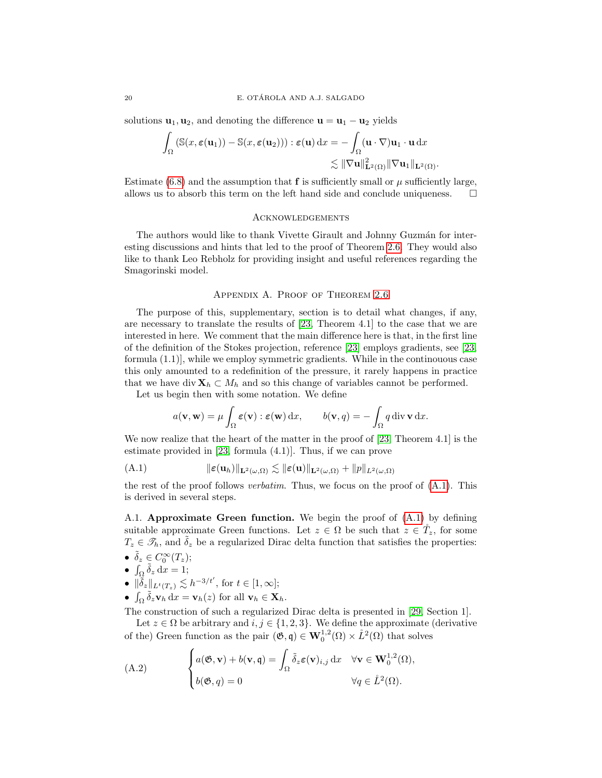solutions  $\mathbf{u}_1, \mathbf{u}_2$ , and denoting the difference  $\mathbf{u} = \mathbf{u}_1 - \mathbf{u}_2$  yields

$$
\int_{\Omega} (\mathbb{S}(x, \varepsilon(\mathbf{u}_1)) - \mathbb{S}(x, \varepsilon(\mathbf{u}_2))) : \varepsilon(\mathbf{u}) \, dx = -\int_{\Omega} (\mathbf{u} \cdot \nabla) \mathbf{u}_1 \cdot \mathbf{u} \, dx
$$
  

$$
\lesssim ||\nabla \mathbf{u}||_{\mathbf{L}^2(\Omega)}^2 ||\nabla \mathbf{u}_1||_{\mathbf{L}^2(\Omega)}.
$$

Estimate [\(6.8\)](#page-18-0) and the assumption that  $f$  is sufficiently small or  $\mu$  sufficiently large, allows us to absorb this term on the left hand side and conclude uniqueness.  $\Box$ 

## **ACKNOWLEDGEMENTS**

The authors would like to thank Vivette Girault and Johnny Guzmán for interesting discussions and hints that led to the proof of Theorem [2.6.](#page-5-4) They would also like to thank Leo Rebholz for providing insight and useful references regarding the Smagorinski model.

#### Appendix A. Proof of Theorem [2.6](#page-5-4)

<span id="page-19-0"></span>The purpose of this, supplementary, section is to detail what changes, if any, are necessary to translate the results of [\[23,](#page-23-6) Theorem 4.1] to the case that we are interested in here. We comment that the main difference here is that, in the first line of the definition of the Stokes projection, reference [\[23\]](#page-23-6) employs gradients, see [\[23,](#page-23-6) formula (1.1)], while we employ symmetric gradients. While in the continouous case this only amounted to a redefinition of the pressure, it rarely happens in practice that we have div  $X_h \subset M_h$  and so this change of variables cannot be performed.

Let us begin then with some notation. We define

<span id="page-19-1"></span>
$$
a(\mathbf{v}, \mathbf{w}) = \mu \int_{\Omega} \varepsilon(\mathbf{v}) : \varepsilon(\mathbf{w}) \, dx, \qquad b(\mathbf{v}, q) = - \int_{\Omega} q \, \text{div} \, \mathbf{v} \, dx.
$$

We now realize that the heart of the matter in the proof of [\[23,](#page-23-6) Theorem 4.1] is the estimate provided in [\[23,](#page-23-6) formula (4.1)]. Thus, if we can prove

(A.1) 
$$
\|\varepsilon(\mathbf{u}_h)\|_{\mathbf{L}^2(\omega,\Omega)} \lesssim \|\varepsilon(\mathbf{u})\|_{\mathbf{L}^2(\omega,\Omega)} + \|p\|_{L^2(\omega,\Omega)}
$$

the rest of the proof follows verbatim. Thus, we focus on the proof of [\(A.1\)](#page-19-1). This is derived in several steps.

A.1. Approximate Green function. We begin the proof of [\(A.1\)](#page-19-1) by defining suitable approximate Green functions. Let  $z \in \Omega$  be such that  $z \in \tilde{T}_z$ , for some  $T_z \in \mathscr{T}_h$ , and  $\tilde{\delta}_z$  be a regularized Dirac delta function that satisfies the properties:

- $\tilde{\delta}_z \in C_0^{\infty}(T_z);$
- $\int_{\Omega} \tilde{\delta}_z \, dx = 1;$
- $\|\widetilde{\delta}_z\|_{L^t(T_z)} \lesssim h^{-3/t'}$ , for  $t \in [1,\infty]$ ;
- $\int_{\Omega} \tilde{\delta}_z \mathbf{v}_h \, dx = \mathbf{v}_h(z)$  for all  $\mathbf{v}_h \in \mathbf{X}_h$ .

The construction of such a regularized Dirac delta is presented in [\[29,](#page-23-22) Section 1].

Let  $z \in \Omega$  be arbitrary and  $i, j \in \{1, 2, 3\}$ . We define the approximate (derivative of the) Green function as the pair  $(\mathfrak{G}, \mathfrak{q}) \in \mathbf{W}_0^{1,2}(\Omega) \times \mathring{L}^2(\Omega)$  that solves

(A.2) 
$$
\begin{cases} a(\mathfrak{G}, \mathbf{v}) + b(\mathbf{v}, \mathbf{q}) = \int_{\Omega} \tilde{\delta}_z \varepsilon(\mathbf{v})_{i,j} dx & \forall \mathbf{v} \in \mathbf{W}_0^{1,2}(\Omega), \\ b(\mathfrak{G}, q) = 0 & \forall q \in \mathring{L}^2(\Omega). \end{cases}
$$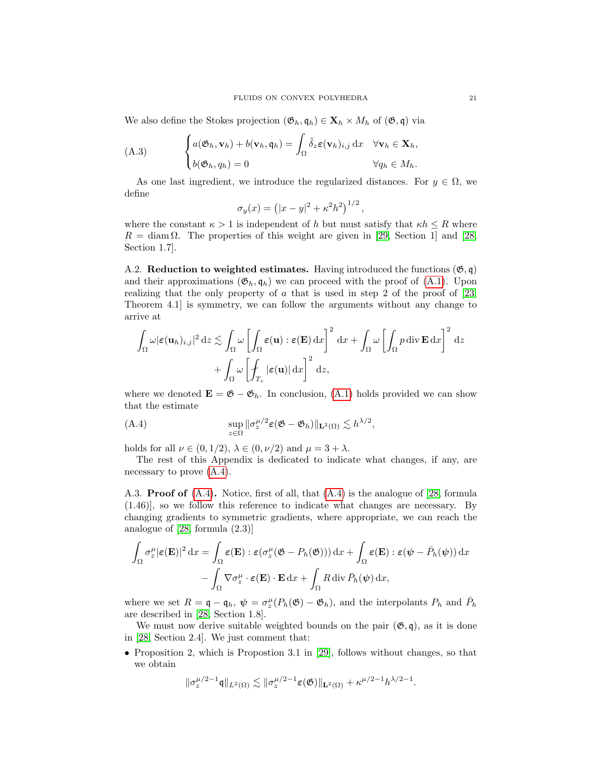We also define the Stokes projection  $(\mathfrak{G}_h, \mathfrak{q}_h) \in \mathbf{X}_h \times M_h$  of  $(\mathfrak{G}, \mathfrak{q})$  via

(A.3) 
$$
\begin{cases} a(\mathfrak{G}_h, \mathbf{v}_h) + b(\mathbf{v}_h, \mathfrak{q}_h) = \int_{\Omega} \tilde{\delta}_z \varepsilon(\mathbf{v}_h)_{i,j} dx & \forall \mathbf{v}_h \in \mathbf{X}_h, \\ b(\mathfrak{G}_h, q_h) = 0 & \forall q_h \in M_h. \end{cases}
$$

As one last ingredient, we introduce the regularized distances. For  $y \in \Omega$ , we define

$$
\sigma_y(x) = (|x - y|^2 + \kappa^2 h^2)^{1/2}
$$

,

where the constant  $\kappa > 1$  is independent of h but must satisfy that  $\kappa h \leq R$  where  $R = \text{diam }\Omega$ . The properties of this weight are given in [\[29,](#page-23-22) Section 1] and [\[28,](#page-23-23) Section 1.7].

A.2. Reduction to weighted estimates. Having introduced the functions  $(\mathfrak{G}, \mathfrak{q})$ and their approximations  $(\mathfrak{G}_h, \mathfrak{q}_h)$  we can proceed with the proof of  $(A.1)$ . Upon realizing that the only property of  $\alpha$  that is used in step 2 of the proof of [\[23,](#page-23-6) Theorem 4.1] is symmetry, we can follow the arguments without any change to arrive at

$$
\int_{\Omega} \omega |\varepsilon(\mathbf{u}_h)_{i,j}|^2 \, \mathrm{d}z \lesssim \int_{\Omega} \omega \left[ \int_{\Omega} \varepsilon(\mathbf{u}) : \varepsilon(\mathbf{E}) \, \mathrm{d}x \right]^2 \, \mathrm{d}x + \int_{\Omega} \omega \left[ \int_{\Omega} p \, \mathrm{div} \, \mathbf{E} \, \mathrm{d}x \right]^2 \, \mathrm{d}z
$$
\n
$$
+ \int_{\Omega} \omega \left[ \int_{T_z} |\varepsilon(\mathbf{u})| \, \mathrm{d}x \right]^2 \, \mathrm{d}z,
$$

where we denoted  $\mathbf{E} = \mathfrak{G} - \mathfrak{G}_h$ . In conclusion, [\(A.1\)](#page-19-1) holds provided we can show that the estimate

<span id="page-20-0"></span>(A.4) 
$$
\sup_{z \in \Omega} \|\sigma_z^{\mu/2} \varepsilon (\mathfrak{G} - \mathfrak{G}_h)\|_{\mathbf{L}^2(\Omega)} \lesssim h^{\lambda/2},
$$

holds for all  $\nu \in (0, 1/2), \lambda \in (0, \nu/2)$  and  $\mu = 3 + \lambda$ .

The rest of this Appendix is dedicated to indicate what changes, if any, are necessary to prove  $(A.4)$ .

A.3. Proof of [\(A.4\)](#page-20-0). Notice, first of all, that [\(A.4\)](#page-20-0) is the analogue of [\[28,](#page-23-23) formula (1.46)], so we follow this reference to indicate what changes are necessary. By changing gradients to symmetric gradients, where appropriate, we can reach the analogue of [\[28,](#page-23-23) formula (2.3)]

$$
\int_{\Omega} \sigma_z^{\mu} |\varepsilon(\mathbf{E})|^2 dx = \int_{\Omega} \varepsilon(\mathbf{E}) : \varepsilon(\sigma_z^{\mu}(\mathfrak{G} - P_h(\mathfrak{G}))) dx + \int_{\Omega} \varepsilon(\mathbf{E}) : \varepsilon(\psi - \bar{P}_h(\psi)) dx
$$

$$
- \int_{\Omega} \nabla \sigma_z^{\mu} \cdot \varepsilon(\mathbf{E}) \cdot \mathbf{E} dx + \int_{\Omega} R \operatorname{div} \bar{P}_h(\psi) dx,
$$

where we set  $R = \mathfrak{q} - \mathfrak{q}_h$ ,  $\psi = \sigma_z^{\mu}(P_h(\mathfrak{G}) - \mathfrak{G}_h)$ , and the interpolants  $P_h$  and  $\bar{P}_h$ are described in [\[28,](#page-23-23) Section 1.8].

We must now derive suitable weighted bounds on the pair  $(\mathfrak{G}, \mathfrak{q})$ , as it is done in [\[28,](#page-23-23) Section 2.4]. We just comment that:

• Proposition 2, which is Propostion 3.1 in [\[29\]](#page-23-22), follows without changes, so that we obtain

$$
\|\sigma_z^{\mu/2-1}\mathfrak{q}\|_{L^2(\Omega)}\lesssim \|\sigma_z^{\mu/2-1}\varepsilon(\mathfrak{G})\|_{\mathbf{L}^2(\Omega)}+ \kappa^{\mu/2-1}h^{\lambda/2-1}.
$$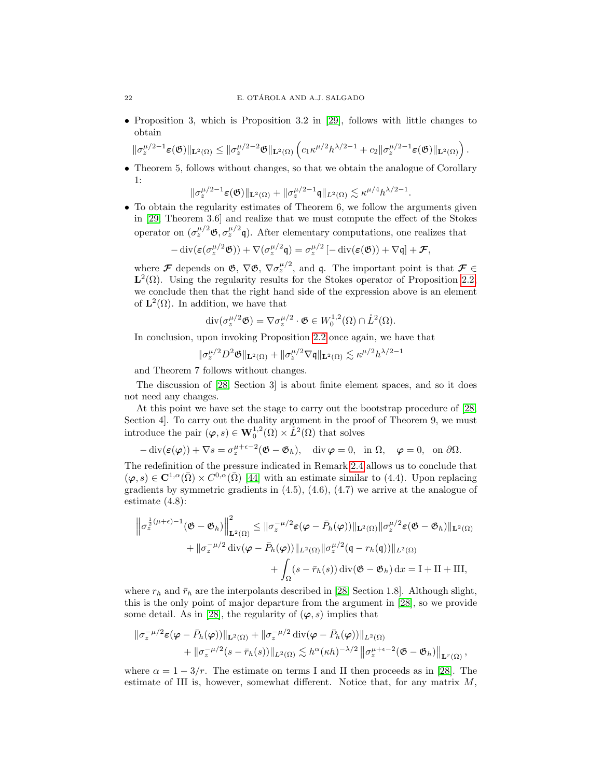• Proposition 3, which is Proposition 3.2 in [\[29\]](#page-23-22), follows with little changes to obtain

$$
\|\sigma_z^{\mu/2-1}\varepsilon(\mathfrak{G})\|_{\mathbf{L}^2(\Omega)} \le \|\sigma_z^{\mu/2-2}\mathfrak{G}\|_{\mathbf{L}^2(\Omega)} \left(c_1 \kappa^{\mu/2} h^{\lambda/2-1} + c_2 \|\sigma_z^{\mu/2-1}\varepsilon(\mathfrak{G})\|_{\mathbf{L}^2(\Omega)}\right).
$$

• Theorem 5, follows without changes, so that we obtain the analogue of Corollary 1:

$$
\|\sigma_z^{\mu/2-1}\varepsilon(\mathfrak{G})\|_{\mathbf{L}^2(\Omega)} + \|\sigma_z^{\mu/2-1}\mathfrak{q}\|_{L^2(\Omega)} \lesssim \kappa^{\mu/4}h^{\lambda/2-1}.
$$

• To obtain the regularity estimates of Theorem 6, we follow the arguments given in [\[29,](#page-23-22) Theorem 3.6] and realize that we must compute the effect of the Stokes operator on  $(\sigma_z^{\mu/2} \mathfrak{G}, \sigma_z^{\mu/2} \mathfrak{q})$ . After elementary computations, one realizes that

$$
-\operatorname{div}(\varepsilon(\sigma_z^{\mu/2}\mathfrak{G})) + \nabla(\sigma_z^{\mu/2}\mathfrak{q}) = \sigma_z^{\mu/2}\left[-\operatorname{div}(\varepsilon(\mathfrak{G})) + \nabla\mathfrak{q}\right] + \mathcal{F},
$$

where F depends on  $\mathfrak{G}, \nabla \mathfrak{G}, \nabla \sigma_z^{\mu/2},$  and q. The important point is that  $\mathcal{F} \in$  $\mathbf{L}^2(\Omega)$ . Using the regularity results for the Stokes operator of Proposition [2.2,](#page-3-2) we conclude then that the right hand side of the expression above is an element of  $\mathbf{L}^2(\Omega)$ . In addition, we have that

$$
\operatorname{div}(\sigma_z^{\mu/2} \mathfrak{G}) = \nabla \sigma_z^{\mu/2} \cdot \mathfrak{G} \in W_0^{1,2}(\Omega) \cap \mathring{L}^2(\Omega).
$$

In conclusion, upon invoking Proposition [2.2](#page-3-2) once again, we have that

 $\|\sigma_z^{\mu/2}D^2\mathfrak{G}\|_{\mathbf{L}^2(\Omega)}+\|\sigma_z^{\mu/2}\nabla\mathfrak{q}\|_{\mathbf{L}^2(\Omega)}\lesssim \kappa^{\mu/2}h^{\lambda/2-1}$ 

and Theorem 7 follows without changes.

The discussion of [\[28,](#page-23-23) Section 3] is about finite element spaces, and so it does not need any changes.

At this point we have set the stage to carry out the bootstrap procedure of [\[28,](#page-23-23) Section 4]. To carry out the duality argument in the proof of Theorem 9, we must introduce the pair  $(\varphi, s) \in \mathbf{W}_0^{1,2}(\Omega) \times \mathring{L}^2(\Omega)$  that solves

$$
-\operatorname{div}(\varepsilon(\varphi)) + \nabla s = \sigma_z^{\mu+\epsilon-2}(\mathfrak{G} - \mathfrak{G}_h), \quad \operatorname{div}\varphi = 0, \text{ in } \Omega, \quad \varphi = 0, \text{ on } \partial\Omega.
$$

The redefinition of the pressure indicated in Remark [2.4](#page-3-4) allows us to conclude that  $(\varphi, s) \in \mathbb{C}^{1,\alpha}(\bar{\Omega}) \times C^{0,\alpha}(\bar{\Omega})$  [\[44\]](#page-24-22) with an estimate similar to (4.4). Upon replacing gradients by symmetric gradients in (4.5), (4.6), (4.7) we arrive at the analogue of estimate (4.8):

$$
\left\| \sigma_z^{\frac{1}{2}(\mu+\epsilon)-1}(\mathfrak{G}-\mathfrak{G}_h) \right\|_{\mathbf{L}^2(\Omega)}^2 \leq \left\| \sigma_z^{-\mu/2} \varepsilon(\varphi-\bar{P}_h(\varphi)) \right\|_{\mathbf{L}^2(\Omega)} \left\| \sigma_z^{\mu/2} \varepsilon(\mathfrak{G}-\mathfrak{G}_h) \right\|_{\mathbf{L}^2(\Omega)} + \left\| \sigma_z^{-\mu/2} \operatorname{div}(\varphi-\bar{P}_h(\varphi)) \right\|_{L^2(\Omega)} \left\| \sigma_z^{\mu/2}(\mathfrak{q}-r_h(\mathfrak{q})) \right\|_{L^2(\Omega)} + \int_{\Omega} (s-\bar{r}_h(s)) \operatorname{div}(\mathfrak{G}-\mathfrak{G}_h) \, \mathrm{d}x = I + II + III,
$$

where  $r_h$  and  $\bar{r}_h$  are the interpolants described in [\[28,](#page-23-23) Section 1.8]. Although slight, this is the only point of major departure from the argument in [\[28\]](#page-23-23), so we provide some detail. As in [\[28\]](#page-23-23), the regularity of  $(\varphi, s)$  implies that

$$
\begin{aligned} \|\sigma_z^{-\mu/2}\varepsilon(\pmb{\varphi}-\bar{P}_h(\pmb{\varphi}))\|_{\mathbf{L}^2(\Omega)}+\|\sigma_z^{-\mu/2}\operatorname{div}(\pmb{\varphi}-\bar{P}_h(\pmb{\varphi}))\|_{L^2(\Omega)}\\ &+\|\sigma_z^{-\mu/2}(s-\bar{r}_h(s))\|_{L^2(\Omega)}\lesssim h^\alpha(\kappa h)^{-\lambda/2}\left\|\sigma_z^{\mu+\epsilon-2}(\mathfrak{G}-\mathfrak{G}_h)\right\|_{\mathbf{L}^r(\Omega)}, \end{aligned}
$$

where  $\alpha = 1 - 3/r$ . The estimate on terms I and II then proceeds as in [\[28\]](#page-23-23). The estimate of III is, however, somewhat different. Notice that, for any matrix  $M$ ,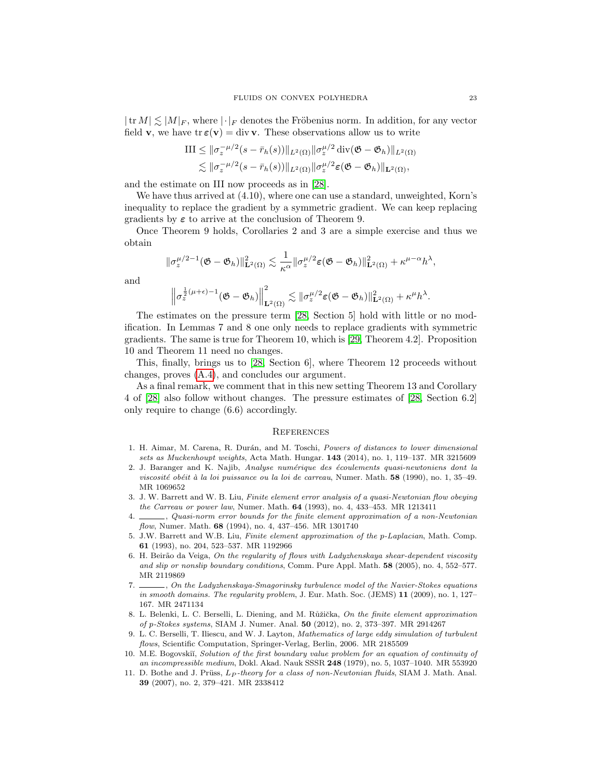$|\text{tr }M| \lesssim |M|_F$ , where  $|\cdot|_F$  denotes the Fröbenius norm. In addition, for any vector field **v**, we have  $tr \varepsilon(\mathbf{v}) = div \mathbf{v}$ . These observations allow us to write

$$
\text{III} \leq \|\sigma_z^{-\mu/2}(s-\bar{r}_h(s))\|_{L^2(\Omega)} \|\sigma_z^{\mu/2}\operatorname{div}(\mathfrak{G}-\mathfrak{G}_h)\|_{L^2(\Omega)}
$$
  

$$
\lesssim \|\sigma_z^{-\mu/2}(s-\bar{r}_h(s))\|_{L^2(\Omega)} \|\sigma_z^{\mu/2}\varepsilon(\mathfrak{G}-\mathfrak{G}_h)\|_{\mathbf{L}^2(\Omega)},
$$

and the estimate on III now proceeds as in [\[28\]](#page-23-23).

We have thus arrived at (4.10), where one can use a standard, unweighted, Korn's inequality to replace the gradient by a symmetric gradient. We can keep replacing gradients by  $\varepsilon$  to arrive at the conclusion of Theorem 9.

Once Theorem 9 holds, Corollaries 2 and 3 are a simple exercise and thus we obtain

$$
\|\sigma_z^{\mu/2-1}(\mathfrak{G}-\mathfrak{G}_h)\|^2_{\mathbf{L}^2(\Omega)}\lesssim \frac{1}{\kappa^\alpha}\|\sigma_z^{\mu/2}\pmb{\varepsilon}(\mathfrak{G}-\mathfrak{G}_h)\|^2_{\mathbf{L}^2(\Omega)}+\kappa^{\mu-\alpha}h^\lambda,
$$

and

$$
\left\|\sigma_z^{\frac{1}{2}(\mu+\epsilon)-1}(\mathfrak{G}-\mathfrak{G}_h)\right\|_{\mathbf{L}^2(\Omega)}^2 \lesssim \|\sigma_z^{\mu/2} \varepsilon (\mathfrak{G}-\mathfrak{G}_h)\|_{\mathbf{L}^2(\Omega)}^2 + \kappa^\mu h^\lambda.
$$

The estimates on the pressure term [\[28,](#page-23-23) Section 5] hold with little or no modification. In Lemmas 7 and 8 one only needs to replace gradients with symmetric gradients. The same is true for Theorem 10, which is [\[29,](#page-23-22) Theorem 4.2]. Proposition 10 and Theorem 11 need no changes.

This, finally, brings us to [\[28,](#page-23-23) Section 6], where Theorem 12 proceeds without changes, proves [\(A.4\)](#page-20-0), and concludes our argument.

As a final remark, we comment that in this new setting Theorem 13 and Corollary 4 of [\[28\]](#page-23-23) also follow without changes. The pressure estimates of [\[28,](#page-23-23) Section 6.2] only require to change (6.6) accordingly.

#### **REFERENCES**

- <span id="page-22-10"></span>1. H. Aimar, M. Carena, R. Durán, and M. Toschi, Powers of distances to lower dimensional sets as Muckenhoupt weights, Acta Math. Hungar. 143 (2014), no. 1, 119–137. MR 3215609
- <span id="page-22-2"></span>2. J. Baranger and K. Najib, Analyse numérique des écoulements quasi-newtoniens dont la viscosité obéit à la loi puissance ou la loi de carreau, Numer. Math.  $58$  (1990), no. 1, 35–49. MR 1069652
- <span id="page-22-3"></span>3. J. W. Barrett and W. B. Liu, Finite element error analysis of a quasi-Newtonian flow obeying the Carreau or power law, Numer. Math. 64 (1993), no. 4, 433–453. MR 1213411
- <span id="page-22-4"></span>4. , Quasi-norm error bounds for the finite element approximation of a non-Newtonian flow, Numer. Math. 68 (1994), no. 4, 437–456. MR 1301740
- <span id="page-22-9"></span>5. J.W. Barrett and W.B. Liu, Finite element approximation of the p-Laplacian, Math. Comp. 61 (1993), no. 204, 523–537. MR 1192966
- <span id="page-22-7"></span>6. H. Beirão da Veiga, On the regularity of flows with Ladyzhenskaya shear-dependent viscosity and slip or nonslip boundary conditions, Comm. Pure Appl. Math. 58 (2005), no. 4, 552–577. MR 2119869
- <span id="page-22-1"></span>7. , On the Ladyzhenskaya-Smagorinsky turbulence model of the Navier-Stokes equations in smooth domains. The regularity problem, J. Eur. Math. Soc. (JEMS) 11 (2009), no. 1, 127– 167. MR 2471134
- <span id="page-22-5"></span>8. L. Belenki, L. C. Berselli, L. Diening, and M. Růžička, On the finite element approximation of p-Stokes systems, SIAM J. Numer. Anal. 50 (2012), no. 2, 373–397. MR 2914267
- <span id="page-22-8"></span>9. L. C. Berselli, T. Iliescu, and W. J. Layton, Mathematics of large eddy simulation of turbulent flows, Scientific Computation, Springer-Verlag, Berlin, 2006. MR 2185509
- <span id="page-22-6"></span>10. M.E. Bogovskiı̆, Solution of the first boundary value problem for an equation of continuity of an incompressible medium, Dokl. Akad. Nauk SSSR 248 (1979), no. 5, 1037–1040. MR 553920
- <span id="page-22-0"></span>11. D. Bothe and J. Prüss,  $L_P$ -theory for a class of non-Newtonian fluids, SIAM J. Math. Anal. 39 (2007), no. 2, 379–421. MR 2338412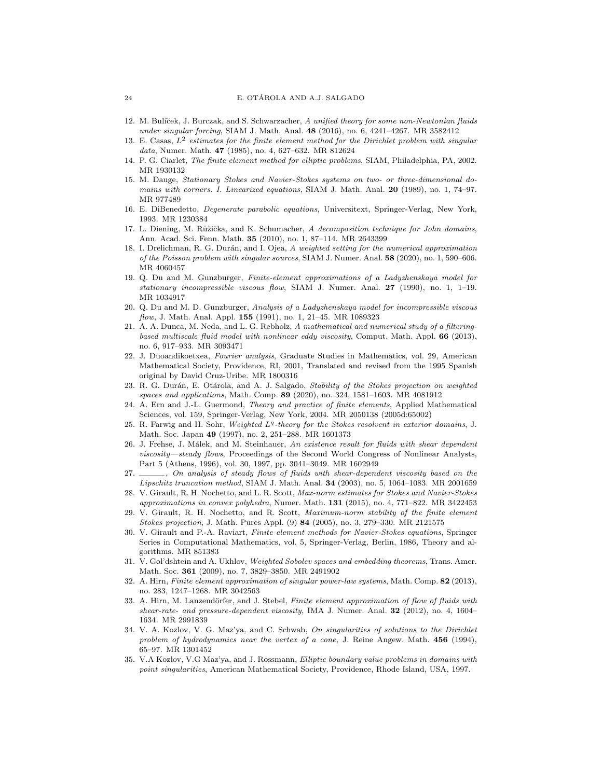- <span id="page-23-1"></span>12. M. Bulíček, J. Burczak, and S. Schwarzacher, A unified theory for some non-Newtonian fluids under singular forcing, SIAM J. Math. Anal. 48 (2016), no. 6, 4241–4267. MR 3582412
- <span id="page-23-16"></span>13. E. Casas,  $L^2$  estimates for the finite element method for the Dirichlet problem with singular data, Numer. Math. 47 (1985), no. 4, 627–632. MR 812624
- <span id="page-23-15"></span>14. P. G. Ciarlet, The finite element method for elliptic problems, SIAM, Philadelphia, PA, 2002. MR 1930132
- <span id="page-23-10"></span>15. M. Dauge, Stationary Stokes and Navier-Stokes systems on two- or three-dimensional domains with corners. I. Linearized equations, SIAM J. Math. Anal. 20 (1989), no. 1, 74–97. MR 977489
- <span id="page-23-21"></span>16. E. DiBenedetto, Degenerate parabolic equations, Universitext, Springer-Verlag, New York, 1993. MR 1230384
- <span id="page-23-19"></span>17. L. Diening, M. Růžička, and K. Schumacher, A decomposition technique for John domains, Ann. Acad. Sci. Fenn. Math. 35 (2010), no. 1, 87–114. MR 2643399
- <span id="page-23-17"></span>18. I. Drelichman, R. G. Durán, and I. Ojea, A weighted setting for the numerical approximation of the Poisson problem with singular sources, SIAM J. Numer. Anal. 58 (2020), no. 1, 590–606. MR 4060457
- <span id="page-23-4"></span>19. Q. Du and M. Gunzburger, Finite-element approximations of a Ladyzhenskaya model for stationary incompressible viscous flow, SIAM J. Numer. Anal. 27 (1990), no. 1, 1–19. MR 1034917
- <span id="page-23-2"></span>20. Q. Du and M. D. Gunzburger, Analysis of a Ladyzhenskaya model for incompressible viscous flow, J. Math. Anal. Appl. 155 (1991), no. 1, 21-45. MR 1089323
- <span id="page-23-18"></span>21. A. A. Dunca, M. Neda, and L. G. Rebholz, A mathematical and numerical study of a filteringbased multiscale fluid model with nonlinear eddy viscosity, Comput. Math. Appl. 66 (2013), no. 6, 917–933. MR 3093471
- <span id="page-23-7"></span>22. J. Duoandikoetxea, Fourier analysis, Graduate Studies in Mathematics, vol. 29, American Mathematical Society, Providence, RI, 2001, Translated and revised from the 1995 Spanish original by David Cruz-Uribe. MR 1800316
- <span id="page-23-6"></span>23. R. G. Durán, E. Otárola, and A. J. Salgado, Stability of the Stokes projection on weighted spaces and applications, Math. Comp. 89 (2020), no. 324, 1581–1603. MR 4081912
- <span id="page-23-13"></span>24. A. Ern and J.-L. Guermond, Theory and practice of finite elements, Applied Mathematical Sciences, vol. 159, Springer-Verlag, New York, 2004. MR 2050138 (2005d:65002)
- <span id="page-23-9"></span>25. R. Farwig and H. Sohr, Weighted  $L<sup>q</sup>$ -theory for the Stokes resolvent in exterior domains, J. Math. Soc. Japan 49 (1997), no. 2, 251–288. MR 1601373
- <span id="page-23-3"></span>26. J. Frehse, J. Málek, and M. Steinhauer, An existence result for fluids with shear dependent viscosity—steady flows, Proceedings of the Second World Congress of Nonlinear Analysts, Part 5 (Athens, 1996), vol. 30, 1997, pp. 3041–3049. MR 1602949
- <span id="page-23-0"></span>27.  $\_\_\_\_$ , On analysis of steady flows of fluids with shear-dependent viscosity based on the  $Lipschitz\ truncation\ method, SIAM J. Math. Anal. 34 (2003), no. 5, 1064–1083. MR 2001659$
- <span id="page-23-23"></span>28. V. Girault, R. H. Nochetto, and L. R. Scott, Max-norm estimates for Stokes and Navier-Stokes approximations in convex polyhedra, Numer. Math.  $131$  (2015), no. 4, 771–822. MR 3422453
- <span id="page-23-22"></span>29. V. Girault, R. H. Nochetto, and R. Scott, Maximum-norm stability of the finite element Stokes projection, J. Math. Pures Appl. (9) 84 (2005), no. 3, 279–330. MR 2121575
- <span id="page-23-14"></span>30. V. Girault and P.-A. Raviart, Finite element methods for Navier-Stokes equations, Springer Series in Computational Mathematics, vol. 5, Springer-Verlag, Berlin, 1986, Theory and algorithms. MR 851383
- <span id="page-23-8"></span>31. V. Gol'dshtein and A. Ukhlov, Weighted Sobolev spaces and embedding theorems, Trans. Amer. Math. Soc. 361 (2009), no. 7, 3829–3850. MR 2491902
- <span id="page-23-5"></span>32. A. Hirn, Finite element approximation of singular power-law systems, Math. Comp. 82 (2013), no. 283, 1247–1268. MR 3042563
- <span id="page-23-20"></span>33. A. Hirn, M. Lanzendörfer, and J. Stebel, Finite element approximation of flow of fluids with shear-rate- and pressure-dependent viscosity, IMA J. Numer. Anal. 32 (2012), no. 4, 1604– 1634. MR 2991839
- <span id="page-23-11"></span>34. V. A. Kozlov, V. G. Maz'ya, and C. Schwab, On singularities of solutions to the Dirichlet problem of hydrodynamics near the vertex of a cone, J. Reine Angew. Math. 456 (1994), 65–97. MR 1301452
- <span id="page-23-12"></span>35. V.A Kozlov, V.G Maz'ya, and J. Rossmann, Elliptic boundary value problems in domains with point singularities, American Mathematical Society, Providence, Rhode Island, USA, 1997.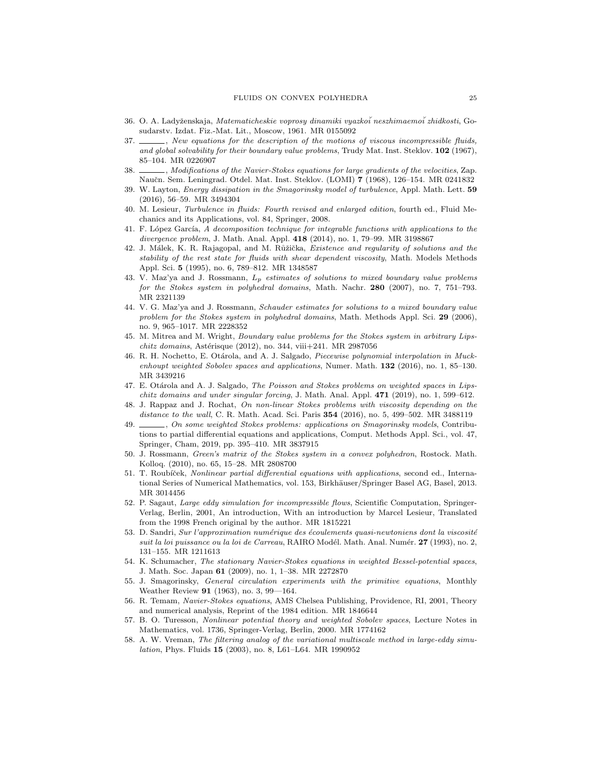- <span id="page-24-1"></span>36. O. A. Ladyˇzenskaja, Matematicheskie voprosy dinamiki vyazko˘i neszhimaemo˘i zhidkosti, Gosudarstv. Izdat. Fiz.-Mat. Lit., Moscow, 1961. MR 0155092
- <span id="page-24-3"></span>37.  $\_\_\_\_\$ , New equations for the description of the motions of viscous incompressible fluids, and global solvability for their boundary value problems, Trudy Mat. Inst. Steklov. 102 (1967), 85–104. MR 0226907
- <span id="page-24-2"></span>38. Modifications of the Navier-Stokes equations for large gradients of the velocities, Zap. Naučn. Sem. Leningrad. Otdel. Mat. Inst. Steklov. (LOMI) 7 (1968), 126–154. MR 0241832
- <span id="page-24-7"></span>39. W. Layton, Energy dissipation in the Smagorinsky model of turbulence, Appl. Math. Lett. 59 (2016), 56–59. MR 3494304
- <span id="page-24-17"></span>40. M. Lesieur, Turbulence in fluids: Fourth revised and enlarged edition, fourth ed., Fluid Mechanics and its Applications, vol. 84, Springer, 2008.
- <span id="page-24-14"></span>41. F. López García, A decomposition technique for integrable functions with applications to the divergence problem, J. Math. Anal. Appl. 418 (2014), no. 1, 79–99. MR 3198867
- <span id="page-24-4"></span>42. J. Málek, K. R. Rajagopal, and M. Růžička, Existence and regularity of solutions and the stability of the rest state for fluids with shear dependent viscosity, Math. Models Methods Appl. Sci. 5 (1995), no. 6, 789–812. MR 1348587
- <span id="page-24-11"></span>43. V. Maz'ya and J. Rossmann,  $L_p$  estimates of solutions to mixed boundary value problems for the Stokes system in polyhedral domains, Math. Nachr. 280 (2007), no. 7, 751–793. MR 2321139
- <span id="page-24-22"></span>44. V. G. Maz'ya and J. Rossmann, Schauder estimates for solutions to a mixed boundary value problem for the Stokes system in polyhedral domains, Math. Methods Appl. Sci. 29 (2006), no. 9, 965–1017. MR 2228352
- <span id="page-24-10"></span>45. M. Mitrea and M. Wright, Boundary value problems for the Stokes system in arbitrary Lips $chitz\ domains, Astérisque (2012), no. 344, viii+241. MR 2987056$
- <span id="page-24-13"></span>46. R. H. Nochetto, E. Otárola, and A. J. Salgado, Piecewise polynomial interpolation in Muckenhoupt weighted Sobolev spaces and applications, Numer. Math. 132 (2016), no. 1, 85-130. MR 3439216
- <span id="page-24-9"></span>47. E. Otárola and A. J. Salgado, The Poisson and Stokes problems on weighted spaces in Lips*chitz domains and under singular forcing*, J. Math. Anal. Appl.  $471$  (2019), no. 1, 599–612.
- <span id="page-24-6"></span>48. J. Rappaz and J. Rochat, On non-linear Stokes problems with viscosity depending on the distance to the wall, C. R. Math. Acad. Sci. Paris 354 (2016), no. 5, 499-502. MR 3488119
- <span id="page-24-20"></span>49.  $\ldots$ , On some weighted Stokes problems: applications on Smagorinsky models, Contributions to partial differential equations and applications, Comput. Methods Appl. Sci., vol. 47, Springer, Cham, 2019, pp. 395–410. MR 3837915
- <span id="page-24-12"></span>50. J. Rossmann, Green's matrix of the Stokes system in a convex polyhedron, Rostock. Math. Kolloq. (2010), no. 65, 15–28. MR 2808700
- <span id="page-24-15"></span>51. T. Roubíček, Nonlinear partial differential equations with applications, second ed., International Series of Numerical Mathematics, vol. 153, Birkhäuser/Springer Basel AG, Basel, 2013. MR 3014456
- <span id="page-24-18"></span>52. P. Sagaut, Large eddy simulation for incompressible flows, Scientific Computation, Springer-Verlag, Berlin, 2001, An introduction, With an introduction by Marcel Lesieur, Translated from the 1998 French original by the author. MR 1815221
- <span id="page-24-5"></span>53. D. Sandri, Sur l'approximation numérique des écoulements quasi-newtoniens dont la viscosité suit la loi puissance ou la loi de Carreau, RAIRO Modél. Math. Anal. Numér. 27 (1993), no. 2, 131–155. MR 1211613
- <span id="page-24-0"></span>54. K. Schumacher, The stationary Navier-Stokes equations in weighted Bessel-potential spaces, J. Math. Soc. Japan 61 (2009), no. 1, 1–38. MR 2272870
- <span id="page-24-16"></span>55. J. Smagorinsky, General circulation experiments with the primitive equations, Monthly Weather Review 91 (1963), no. 3, 99—164.
- <span id="page-24-21"></span>56. R. Temam, Navier-Stokes equations, AMS Chelsea Publishing, Providence, RI, 2001, Theory and numerical analysis, Reprint of the 1984 edition. MR 1846644
- <span id="page-24-8"></span>57. B. O. Turesson, Nonlinear potential theory and weighted Sobolev spaces, Lecture Notes in Mathematics, vol. 1736, Springer-Verlag, Berlin, 2000. MR 1774162
- <span id="page-24-19"></span>58. A. W. Vreman, The filtering analog of the variational multiscale method in large-eddy simulation, Phys. Fluids 15 (2003), no. 8, L61–L64. MR 1990952